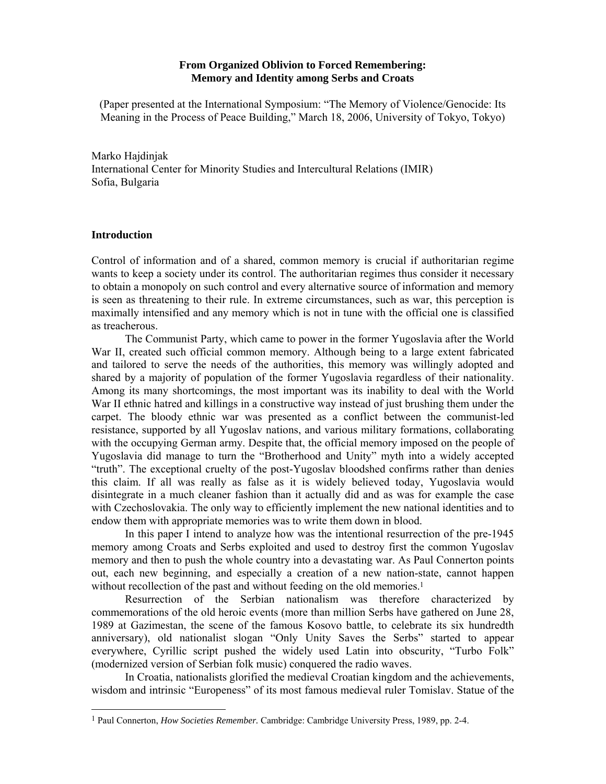# **From Organized Oblivion to Forced Remembering: Memory and Identity among Serbs and Croats**

(Paper presented at the International Symposium: "The Memory of Violence/Genocide: Its Meaning in the Process of Peace Building," March 18, 2006, University of Tokyo, Tokyo)

Marko Hajdinjak International Center for Minority Studies and Intercultural Relations (IMIR) Sofia, Bulgaria

# **Introduction**

l

Control of information and of a shared, common memory is crucial if authoritarian regime wants to keep a society under its control. The authoritarian regimes thus consider it necessary to obtain a monopoly on such control and every alternative source of information and memory is seen as threatening to their rule. In extreme circumstances, such as war, this perception is maximally intensified and any memory which is not in tune with the official one is classified as treacherous.

The Communist Party, which came to power in the former Yugoslavia after the World War II, created such official common memory. Although being to a large extent fabricated and tailored to serve the needs of the authorities, this memory was willingly adopted and shared by a majority of population of the former Yugoslavia regardless of their nationality. Among its many shortcomings, the most important was its inability to deal with the World War II ethnic hatred and killings in a constructive way instead of just brushing them under the carpet. The bloody ethnic war was presented as a conflict between the communist-led resistance, supported by all Yugoslav nations, and various military formations, collaborating with the occupying German army. Despite that, the official memory imposed on the people of Yugoslavia did manage to turn the "Brotherhood and Unity" myth into a widely accepted "truth". The exceptional cruelty of the post-Yugoslav bloodshed confirms rather than denies this claim. If all was really as false as it is widely believed today, Yugoslavia would disintegrate in a much cleaner fashion than it actually did and as was for example the case with Czechoslovakia. The only way to efficiently implement the new national identities and to endow them with appropriate memories was to write them down in blood.

In this paper I intend to analyze how was the intentional resurrection of the pre-1945 memory among Croats and Serbs exploited and used to destroy first the common Yugoslav memory and then to push the whole country into a devastating war. As Paul Connerton points out, each new beginning, and especially a creation of a new nation-state, cannot happen without recollection of the past and without feeding on the old memories.<sup>1</sup>

Resurrection of the Serbian nationalism was therefore characterized by commemorations of the old heroic events (more than million Serbs have gathered on June 28, 1989 at Gazimestan, the scene of the famous Kosovo battle, to celebrate its six hundredth anniversary), old nationalist slogan "Only Unity Saves the Serbs" started to appear everywhere, Cyrillic script pushed the widely used Latin into obscurity, "Turbo Folk" (modernized version of Serbian folk music) conquered the radio waves.

 In Croatia, nationalists glorified the medieval Croatian kingdom and the achievements, wisdom and intrinsic "Europeness" of its most famous medieval ruler Tomislav. Statue of the

<sup>1</sup> Paul Connerton, *How Societies Remember.* Cambridge: Cambridge University Press, 1989, pp. 2-4.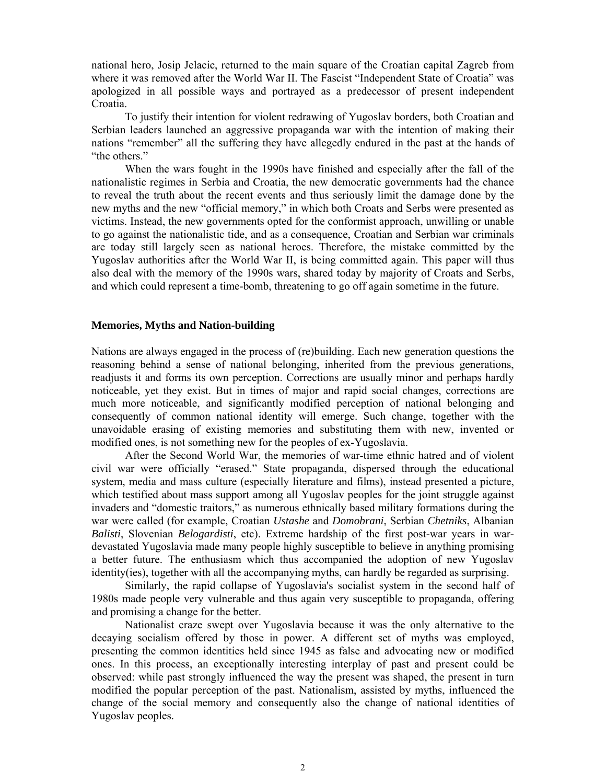national hero, Josip Jelacic, returned to the main square of the Croatian capital Zagreb from where it was removed after the World War II. The Fascist "Independent State of Croatia" was apologized in all possible ways and portrayed as a predecessor of present independent Croatia.

 To justify their intention for violent redrawing of Yugoslav borders, both Croatian and Serbian leaders launched an aggressive propaganda war with the intention of making their nations "remember" all the suffering they have allegedly endured in the past at the hands of "the others."

 When the wars fought in the 1990s have finished and especially after the fall of the nationalistic regimes in Serbia and Croatia, the new democratic governments had the chance to reveal the truth about the recent events and thus seriously limit the damage done by the new myths and the new "official memory," in which both Croats and Serbs were presented as victims. Instead, the new governments opted for the conformist approach, unwilling or unable to go against the nationalistic tide, and as a consequence, Croatian and Serbian war criminals are today still largely seen as national heroes. Therefore, the mistake committed by the Yugoslav authorities after the World War II, is being committed again. This paper will thus also deal with the memory of the 1990s wars, shared today by majority of Croats and Serbs, and which could represent a time-bomb, threatening to go off again sometime in the future.

#### **Memories, Myths and Nation-building**

Nations are always engaged in the process of (re)building. Each new generation questions the reasoning behind a sense of national belonging, inherited from the previous generations, readjusts it and forms its own perception. Corrections are usually minor and perhaps hardly noticeable, yet they exist. But in times of major and rapid social changes, corrections are much more noticeable, and significantly modified perception of national belonging and consequently of common national identity will emerge. Such change, together with the unavoidable erasing of existing memories and substituting them with new, invented or modified ones, is not something new for the peoples of ex-Yugoslavia.

 After the Second World War, the memories of war-time ethnic hatred and of violent civil war were officially "erased." State propaganda, dispersed through the educational system, media and mass culture (especially literature and films), instead presented a picture, which testified about mass support among all Yugoslav peoples for the joint struggle against invaders and "domestic traitors," as numerous ethnically based military formations during the war were called (for example, Croatian *Ustashe* and *Domobrani*, Serbian *Chetniks*, Albanian *Balisti*, Slovenian *Belogardisti*, etc). Extreme hardship of the first post-war years in wardevastated Yugoslavia made many people highly susceptible to believe in anything promising a better future. The enthusiasm which thus accompanied the adoption of new Yugoslav identity(ies), together with all the accompanying myths, can hardly be regarded as surprising.

 Similarly, the rapid collapse of Yugoslavia's socialist system in the second half of 1980s made people very vulnerable and thus again very susceptible to propaganda, offering and promising a change for the better.

 Nationalist craze swept over Yugoslavia because it was the only alternative to the decaying socialism offered by those in power. A different set of myths was employed, presenting the common identities held since 1945 as false and advocating new or modified ones. In this process, an exceptionally interesting interplay of past and present could be observed: while past strongly influenced the way the present was shaped, the present in turn modified the popular perception of the past. Nationalism, assisted by myths, influenced the change of the social memory and consequently also the change of national identities of Yugoslav peoples.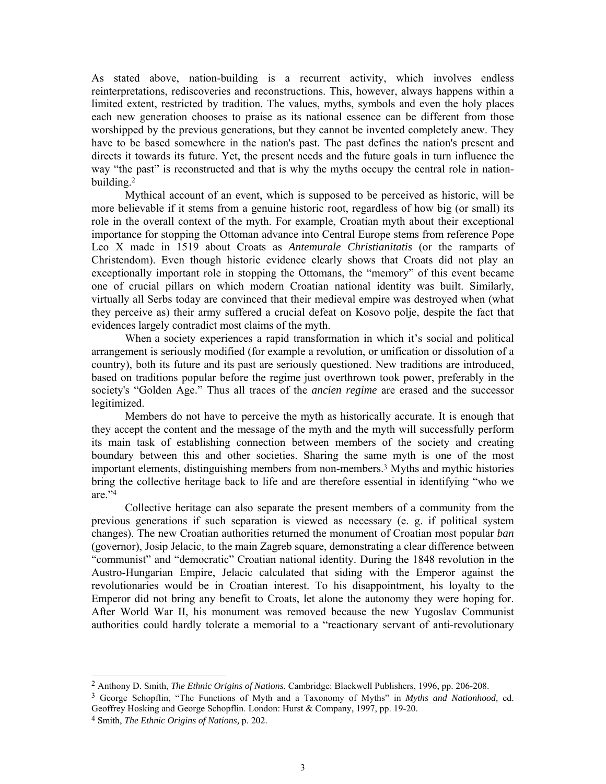As stated above, nation-building is a recurrent activity, which involves endless reinterpretations, rediscoveries and reconstructions. This, however, always happens within a limited extent, restricted by tradition. The values, myths, symbols and even the holy places each new generation chooses to praise as its national essence can be different from those worshipped by the previous generations, but they cannot be invented completely anew. They have to be based somewhere in the nation's past. The past defines the nation's present and directs it towards its future. Yet, the present needs and the future goals in turn influence the way "the past" is reconstructed and that is why the myths occupy the central role in nationbuilding.2

Mythical account of an event, which is supposed to be perceived as historic, will be more believable if it stems from a genuine historic root, regardless of how big (or small) its role in the overall context of the myth. For example, Croatian myth about their exceptional importance for stopping the Ottoman advance into Central Europe stems from reference Pope Leo X made in 1519 about Croats as *Antemurale Christianitatis* (or the ramparts of Christendom). Even though historic evidence clearly shows that Croats did not play an exceptionally important role in stopping the Ottomans, the "memory" of this event became one of crucial pillars on which modern Croatian national identity was built. Similarly, virtually all Serbs today are convinced that their medieval empire was destroyed when (what they perceive as) their army suffered a crucial defeat on Kosovo polje, despite the fact that evidences largely contradict most claims of the myth.

 When a society experiences a rapid transformation in which it's social and political arrangement is seriously modified (for example a revolution, or unification or dissolution of a country), both its future and its past are seriously questioned. New traditions are introduced, based on traditions popular before the regime just overthrown took power, preferably in the society's "Golden Age." Thus all traces of the *ancien regime* are erased and the successor legitimized.

 Members do not have to perceive the myth as historically accurate. It is enough that they accept the content and the message of the myth and the myth will successfully perform its main task of establishing connection between members of the society and creating boundary between this and other societies. Sharing the same myth is one of the most important elements, distinguishing members from non-members.3 Myths and mythic histories bring the collective heritage back to life and are therefore essential in identifying "who we are."4

Collective heritage can also separate the present members of a community from the previous generations if such separation is viewed as necessary (e. g. if political system changes). The new Croatian authorities returned the monument of Croatian most popular *ban* (governor), Josip Jelacic, to the main Zagreb square, demonstrating a clear difference between "communist" and "democratic" Croatian national identity. During the 1848 revolution in the Austro-Hungarian Empire, Jelacic calculated that siding with the Emperor against the revolutionaries would be in Croatian interest. To his disappointment, his loyalty to the Emperor did not bring any benefit to Croats, let alone the autonomy they were hoping for. After World War II, his monument was removed because the new Yugoslav Communist authorities could hardly tolerate a memorial to a "reactionary servant of anti-revolutionary

<sup>2</sup> Anthony D. Smith, *The Ethnic Origins of Nations.* Cambridge: Blackwell Publishers, 1996, pp. 206-208.

<sup>3</sup> George Schopflin, "The Functions of Myth and a Taxonomy of Myths" in *Myths and Nationhood,* ed. Geoffrey Hosking and George Schopflin. London: Hurst & Company, 1997, pp. 19-20.

<sup>4</sup> Smith, *The Ethnic Origins of Nations,* p. 202.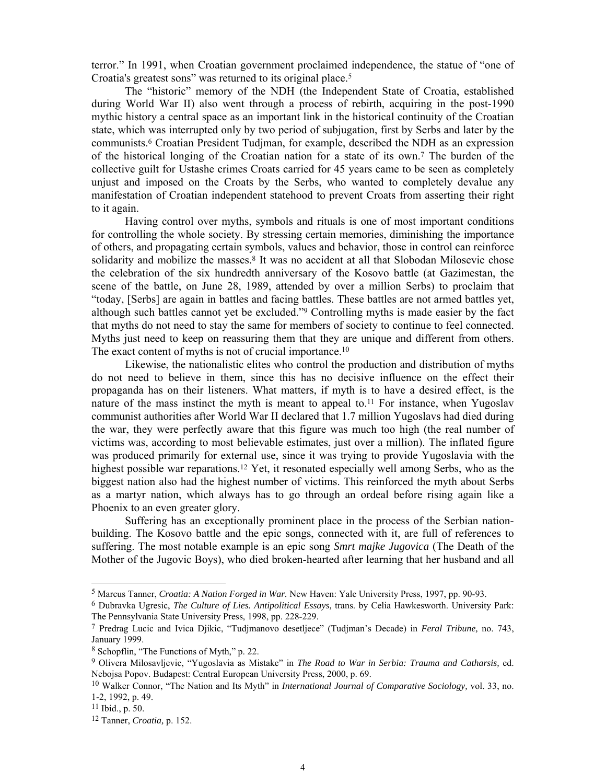terror." In 1991, when Croatian government proclaimed independence, the statue of "one of Croatia's greatest sons" was returned to its original place.5

The "historic" memory of the NDH (the Independent State of Croatia, established during World War II) also went through a process of rebirth, acquiring in the post-1990 mythic history a central space as an important link in the historical continuity of the Croatian state, which was interrupted only by two period of subjugation, first by Serbs and later by the communists.6 Croatian President Tudjman, for example, described the NDH as an expression of the historical longing of the Croatian nation for a state of its own.7 The burden of the collective guilt for Ustashe crimes Croats carried for 45 years came to be seen as completely unjust and imposed on the Croats by the Serbs, who wanted to completely devalue any manifestation of Croatian independent statehood to prevent Croats from asserting their right to it again.

 Having control over myths, symbols and rituals is one of most important conditions for controlling the whole society. By stressing certain memories, diminishing the importance of others, and propagating certain symbols, values and behavior, those in control can reinforce solidarity and mobilize the masses.<sup>8</sup> It was no accident at all that Slobodan Milosevic chose the celebration of the six hundredth anniversary of the Kosovo battle (at Gazimestan, the scene of the battle, on June 28, 1989, attended by over a million Serbs) to proclaim that "today, [Serbs] are again in battles and facing battles. These battles are not armed battles yet, although such battles cannot yet be excluded."9 Controlling myths is made easier by the fact that myths do not need to stay the same for members of society to continue to feel connected. Myths just need to keep on reassuring them that they are unique and different from others. The exact content of myths is not of crucial importance.10

 Likewise, the nationalistic elites who control the production and distribution of myths do not need to believe in them, since this has no decisive influence on the effect their propaganda has on their listeners. What matters, if myth is to have a desired effect, is the nature of the mass instinct the myth is meant to appeal to.<sup>11</sup> For instance, when Yugoslav communist authorities after World War II declared that 1.7 million Yugoslavs had died during the war, they were perfectly aware that this figure was much too high (the real number of victims was, according to most believable estimates, just over a million). The inflated figure was produced primarily for external use, since it was trying to provide Yugoslavia with the highest possible war reparations.<sup>12</sup> Yet, it resonated especially well among Serbs, who as the biggest nation also had the highest number of victims. This reinforced the myth about Serbs as a martyr nation, which always has to go through an ordeal before rising again like a Phoenix to an even greater glory.

 Suffering has an exceptionally prominent place in the process of the Serbian nationbuilding. The Kosovo battle and the epic songs, connected with it, are full of references to suffering. The most notable example is an epic song *Smrt majke Jugovica* (The Death of the Mother of the Jugovic Boys), who died broken-hearted after learning that her husband and all

<sup>5</sup> Marcus Tanner, *Croatia: A Nation Forged in War.* New Haven: Yale University Press, 1997, pp. 90-93.

<sup>6</sup> Dubravka Ugresic, *The Culture of Lies. Antipolitical Essays,* trans. by Celia Hawkesworth. University Park: The Pennsylvania State University Press, 1998, pp. 228-229.

<sup>7</sup> Predrag Lucic and Ivica Djikic, "Tudjmanovo desetljece" (Tudjman's Decade) in *Feral Tribune,* no. 743, January 1999.

<sup>8</sup> Schopflin, "The Functions of Myth," p. 22.

<sup>9</sup> Olivera Milosavljevic, "Yugoslavia as Mistake" in *The Road to War in Serbia: Trauma and Catharsis,* ed. Nebojsa Popov. Budapest: Central European University Press, 2000, p. 69.

<sup>10</sup> Walker Connor, "The Nation and Its Myth" in *International Journal of Comparative Sociology,* vol. 33, no. 1-2, 1992, p. 49.

<sup>11</sup> Ibid., p. 50.

<sup>12</sup> Tanner, *Croatia,* p. 152.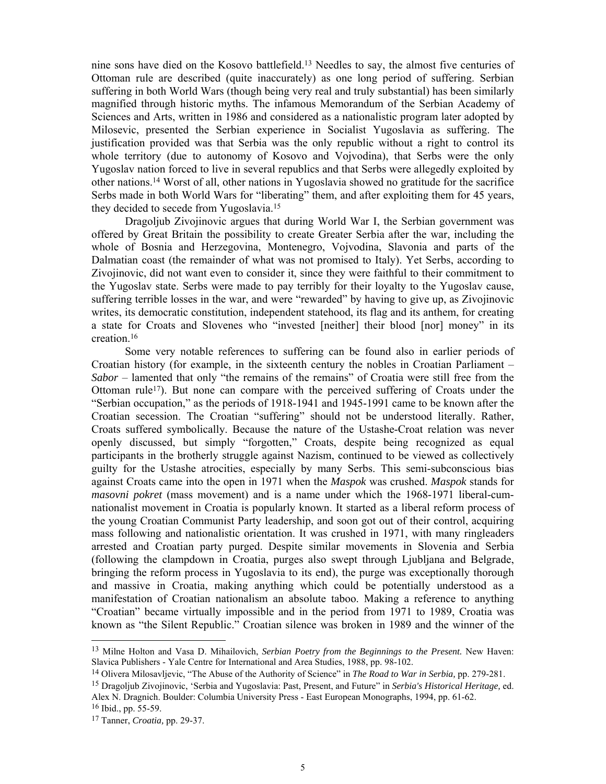nine sons have died on the Kosovo battlefield.13 Needles to say, the almost five centuries of Ottoman rule are described (quite inaccurately) as one long period of suffering. Serbian suffering in both World Wars (though being very real and truly substantial) has been similarly magnified through historic myths. The infamous Memorandum of the Serbian Academy of Sciences and Arts, written in 1986 and considered as a nationalistic program later adopted by Milosevic, presented the Serbian experience in Socialist Yugoslavia as suffering. The justification provided was that Serbia was the only republic without a right to control its whole territory (due to autonomy of Kosovo and Vojvodina), that Serbs were the only Yugoslav nation forced to live in several republics and that Serbs were allegedly exploited by other nations.14 Worst of all, other nations in Yugoslavia showed no gratitude for the sacrifice Serbs made in both World Wars for "liberating" them, and after exploiting them for 45 years, they decided to secede from Yugoslavia.15

 Dragoljub Zivojinovic argues that during World War I, the Serbian government was offered by Great Britain the possibility to create Greater Serbia after the war, including the whole of Bosnia and Herzegovina, Montenegro, Vojvodina, Slavonia and parts of the Dalmatian coast (the remainder of what was not promised to Italy). Yet Serbs, according to Zivojinovic, did not want even to consider it, since they were faithful to their commitment to the Yugoslav state. Serbs were made to pay terribly for their loyalty to the Yugoslav cause, suffering terrible losses in the war, and were "rewarded" by having to give up, as Zivojinovic writes, its democratic constitution, independent statehood, its flag and its anthem, for creating a state for Croats and Slovenes who "invested [neither] their blood [nor] money" in its creation.16

Some very notable references to suffering can be found also in earlier periods of Croatian history (for example, in the sixteenth century the nobles in Croatian Parliament – *Sabor* – lamented that only "the remains of the remains" of Croatia were still free from the Ottoman rule<sup>17</sup>). But none can compare with the perceived suffering of Croats under the "Serbian occupation," as the periods of 1918-1941 and 1945-1991 came to be known after the Croatian secession. The Croatian "suffering" should not be understood literally. Rather, Croats suffered symbolically. Because the nature of the Ustashe-Croat relation was never openly discussed, but simply "forgotten," Croats, despite being recognized as equal participants in the brotherly struggle against Nazism, continued to be viewed as collectively guilty for the Ustashe atrocities, especially by many Serbs. This semi-subconscious bias against Croats came into the open in 1971 when the *Maspok* was crushed. *Maspok* stands for *masovni pokret* (mass movement) and is a name under which the 1968-1971 liberal-cumnationalist movement in Croatia is popularly known. It started as a liberal reform process of the young Croatian Communist Party leadership, and soon got out of their control, acquiring mass following and nationalistic orientation. It was crushed in 1971, with many ringleaders arrested and Croatian party purged. Despite similar movements in Slovenia and Serbia (following the clampdown in Croatia, purges also swept through Ljubljana and Belgrade, bringing the reform process in Yugoslavia to its end), the purge was exceptionally thorough and massive in Croatia, making anything which could be potentially understood as a manifestation of Croatian nationalism an absolute taboo. Making a reference to anything "Croatian" became virtually impossible and in the period from 1971 to 1989, Croatia was known as "the Silent Republic." Croatian silence was broken in 1989 and the winner of the

<sup>13</sup> Milne Holton and Vasa D. Mihailovich, *Serbian Poetry from the Beginnings to the Present.* New Haven: Slavica Publishers - Yale Centre for International and Area Studies, 1988, pp. 98-102.

<sup>14</sup> Olivera Milosavljevic, "The Abuse of the Authority of Science" in *The Road to War in Serbia,* pp. 279-281.

<sup>15</sup> Dragoljub Zivojinovic, 'Serbia and Yugoslavia: Past, Present, and Future" in *Serbia's Historical Heritage,* ed. Alex N. Dragnich. Boulder: Columbia University Press - East European Monographs, 1994, pp. 61-62. 16 Ibid., pp. 55-59.

<sup>17</sup> Tanner, *Croatia,* pp. 29-37.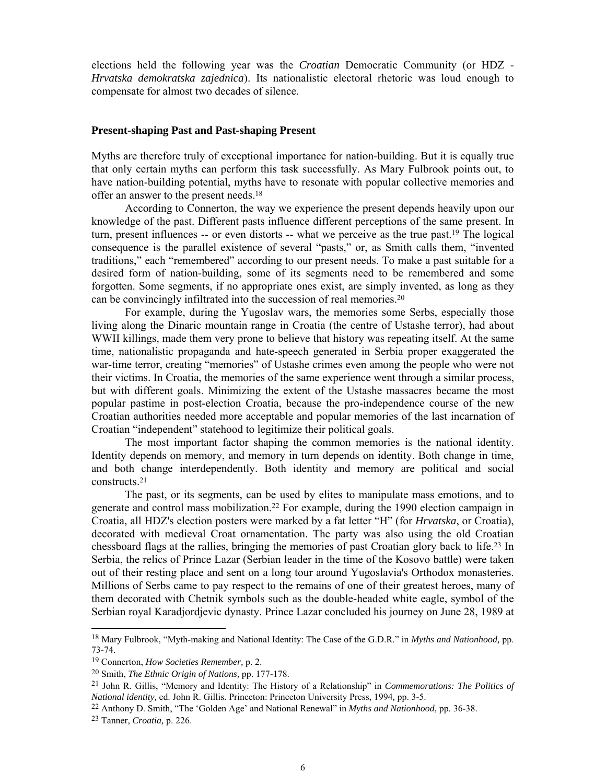elections held the following year was the *Croatian* Democratic Community (or HDZ - *Hrvatska demokratska zajednica*). Its nationalistic electoral rhetoric was loud enough to compensate for almost two decades of silence.

## **Present-shaping Past and Past-shaping Present**

Myths are therefore truly of exceptional importance for nation-building. But it is equally true that only certain myths can perform this task successfully. As Mary Fulbrook points out, to have nation-building potential, myths have to resonate with popular collective memories and offer an answer to the present needs.18

According to Connerton, the way we experience the present depends heavily upon our knowledge of the past. Different pasts influence different perceptions of the same present. In turn, present influences -- or even distorts -- what we perceive as the true past.19 The logical consequence is the parallel existence of several "pasts," or, as Smith calls them, "invented traditions," each "remembered" according to our present needs. To make a past suitable for a desired form of nation-building, some of its segments need to be remembered and some forgotten. Some segments, if no appropriate ones exist, are simply invented, as long as they can be convincingly infiltrated into the succession of real memories.20

 For example, during the Yugoslav wars, the memories some Serbs, especially those living along the Dinaric mountain range in Croatia (the centre of Ustashe terror), had about WWII killings, made them very prone to believe that history was repeating itself. At the same time, nationalistic propaganda and hate-speech generated in Serbia proper exaggerated the war-time terror, creating "memories" of Ustashe crimes even among the people who were not their victims. In Croatia, the memories of the same experience went through a similar process, but with different goals. Minimizing the extent of the Ustashe massacres became the most popular pastime in post-election Croatia, because the pro-independence course of the new Croatian authorities needed more acceptable and popular memories of the last incarnation of Croatian "independent" statehood to legitimize their political goals.

 The most important factor shaping the common memories is the national identity. Identity depends on memory, and memory in turn depends on identity. Both change in time, and both change interdependently. Both identity and memory are political and social constructs.21

The past, or its segments, can be used by elites to manipulate mass emotions, and to generate and control mass mobilization.22 For example, during the 1990 election campaign in Croatia, all HDZ's election posters were marked by a fat letter "H" (for *Hrvatska*, or Croatia), decorated with medieval Croat ornamentation. The party was also using the old Croatian chessboard flags at the rallies, bringing the memories of past Croatian glory back to life.23 In Serbia, the relics of Prince Lazar (Serbian leader in the time of the Kosovo battle) were taken out of their resting place and sent on a long tour around Yugoslavia's Orthodox monasteries. Millions of Serbs came to pay respect to the remains of one of their greatest heroes, many of them decorated with Chetnik symbols such as the double-headed white eagle, symbol of the Serbian royal Karadjordjevic dynasty. Prince Lazar concluded his journey on June 28, 1989 at

<sup>18</sup> Mary Fulbrook, "Myth-making and National Identity: The Case of the G.D.R." in *Myths and Nationhood,* pp. 73-74.

<sup>19</sup> Connerton, *How Societies Remember,* p. 2.

<sup>20</sup> Smith, *The Ethnic Origin of Nations,* pp. 177-178.

<sup>21</sup> John R. Gillis, "Memory and Identity: The History of a Relationship" in *Commemorations: The Politics of National identity,* ed. John R. Gillis. Princeton: Princeton University Press, 1994*,* pp. 3-5.

<sup>22</sup> Anthony D. Smith, "The 'Golden Age' and National Renewal" in *Myths and Nationhood,* pp. 36-38.

<sup>23</sup> Tanner, *Croatia,* p. 226.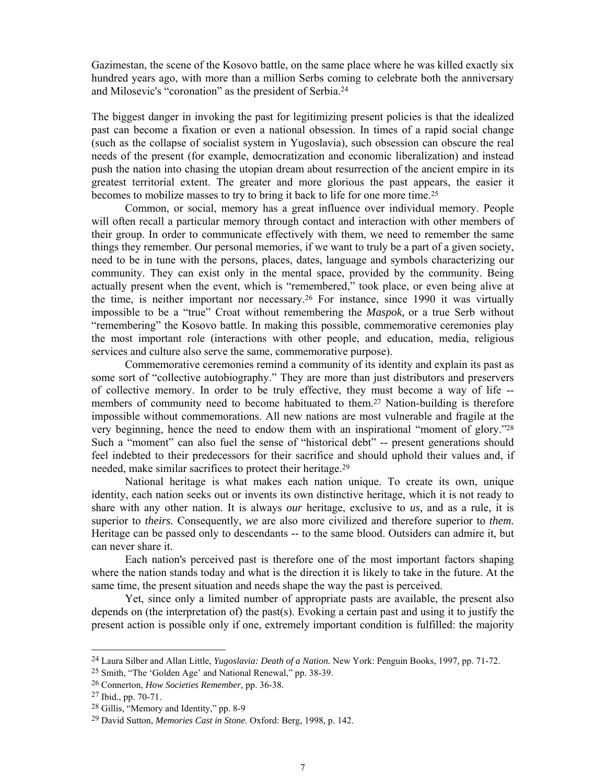Gazimestan, the scene of the Kosovo battle, on the same place where he was killed exactly six hundred years ago, with more than a million Serbs coming to celebrate both the anniversary and Milosevic's "coronation" as the president of Serbia.24

The biggest danger in invoking the past for legitimizing present policies is that the idealized past can become a fixation or even a national obsession. In times of a rapid social change (such as the collapse of socialist system in Yugoslavia), such obsession can obscure the real needs of the present (for example, democratization and economic liberalization) and instead push the nation into chasing the utopian dream about resurrection of the ancient empire in its greatest territorial extent. The greater and more glorious the past appears, the easier it becomes to mobilize masses to try to bring it back to life for one more time.25

Common, or social, memory has a great influence over individual memory. People will often recall a particular memory through contact and interaction with other members of their group. In order to communicate effectively with them, we need to remember the same things they remember. Our personal memories, if we want to truly be a part of a given society, need to be in tune with the persons, places, dates, language and symbols characterizing our community. They can exist only in the mental space, provided by the community. Being actually present when the event, which is "remembered," took place, or even being alive at the time, is neither important nor necessary.26 For instance, since 1990 it was virtually impossible to be a "true" Croat without remembering the *Maspok,* or a true Serb without "remembering" the Kosovo battle. In making this possible, commemorative ceremonies play the most important role (interactions with other people, and education, media, religious services and culture also serve the same, commemorative purpose).

 Commemorative ceremonies remind a community of its identity and explain its past as some sort of "collective autobiography." They are more than just distributors and preservers of collective memory. In order to be truly effective, they must become a way of life - members of community need to become habituated to them.27 Nation-building is therefore impossible without commemorations. All new nations are most vulnerable and fragile at the very beginning, hence the need to endow them with an inspirational "moment of glory."28 Such a "moment" can also fuel the sense of "historical debt" -- present generations should feel indebted to their predecessors for their sacrifice and should uphold their values and, if needed, make similar sacrifices to protect their heritage.29

 National heritage is what makes each nation unique. To create its own, unique identity, each nation seeks out or invents its own distinctive heritage, which it is not ready to share with any other nation. It is always *our* heritage, exclusive to *us,* and as a rule, it is superior to *theirs.* Consequently, *we* are also more civilized and therefore superior to *them.* Heritage can be passed only to descendants -- to the same blood. Outsiders can admire it, but can never share it.

 Each nation's perceived past is therefore one of the most important factors shaping where the nation stands today and what is the direction it is likely to take in the future. At the same time, the present situation and needs shape the way the past is perceived.

Yet, since only a limited number of appropriate pasts are available, the present also depends on (the interpretation of) the past(s). Evoking a certain past and using it to justify the present action is possible only if one, extremely important condition is fulfilled: the majority

<sup>24</sup> Laura Silber and Allan Little, *Yugoslavia: Death of a Nation.* New York: Penguin Books, 1997*,* pp. 71-72.

<sup>25</sup> Smith, "The 'Golden Age' and National Renewal," pp. 38-39.

<sup>26</sup> Connerton, *How Societies Remember,* pp. 36-38.

<sup>27</sup> Ibid., pp. 70-71.

<sup>28</sup> Gillis, "Memory and Identity," pp. 8-9

<sup>29</sup> David Sutton, *Memories Cast in Stone.* Oxford: Berg, 1998*,* p. 142.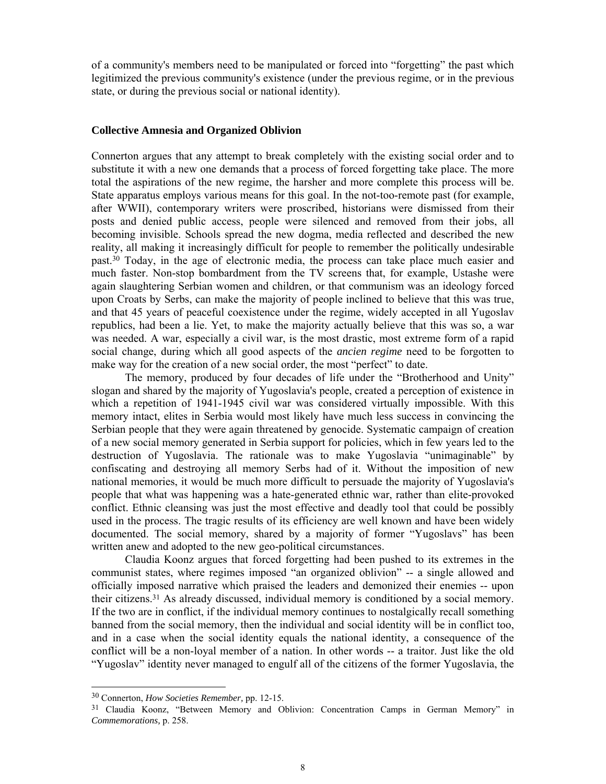of a community's members need to be manipulated or forced into "forgetting" the past which legitimized the previous community's existence (under the previous regime, or in the previous state, or during the previous social or national identity).

# **Collective Amnesia and Organized Oblivion**

Connerton argues that any attempt to break completely with the existing social order and to substitute it with a new one demands that a process of forced forgetting take place. The more total the aspirations of the new regime, the harsher and more complete this process will be. State apparatus employs various means for this goal. In the not-too-remote past (for example, after WWII), contemporary writers were proscribed, historians were dismissed from their posts and denied public access, people were silenced and removed from their jobs, all becoming invisible. Schools spread the new dogma, media reflected and described the new reality, all making it increasingly difficult for people to remember the politically undesirable past.30 Today, in the age of electronic media, the process can take place much easier and much faster. Non-stop bombardment from the TV screens that, for example, Ustashe were again slaughtering Serbian women and children, or that communism was an ideology forced upon Croats by Serbs, can make the majority of people inclined to believe that this was true, and that 45 years of peaceful coexistence under the regime, widely accepted in all Yugoslav republics, had been a lie. Yet, to make the majority actually believe that this was so, a war was needed. A war, especially a civil war, is the most drastic, most extreme form of a rapid social change, during which all good aspects of the *ancien regime* need to be forgotten to make way for the creation of a new social order, the most "perfect" to date.

The memory, produced by four decades of life under the "Brotherhood and Unity" slogan and shared by the majority of Yugoslavia's people, created a perception of existence in which a repetition of 1941-1945 civil war was considered virtually impossible. With this memory intact, elites in Serbia would most likely have much less success in convincing the Serbian people that they were again threatened by genocide. Systematic campaign of creation of a new social memory generated in Serbia support for policies, which in few years led to the destruction of Yugoslavia. The rationale was to make Yugoslavia "unimaginable" by confiscating and destroying all memory Serbs had of it. Without the imposition of new national memories, it would be much more difficult to persuade the majority of Yugoslavia's people that what was happening was a hate-generated ethnic war, rather than elite-provoked conflict. Ethnic cleansing was just the most effective and deadly tool that could be possibly used in the process. The tragic results of its efficiency are well known and have been widely documented. The social memory, shared by a majority of former "Yugoslavs" has been written anew and adopted to the new geo-political circumstances.

 Claudia Koonz argues that forced forgetting had been pushed to its extremes in the communist states, where regimes imposed "an organized oblivion" -- a single allowed and officially imposed narrative which praised the leaders and demonized their enemies -- upon their citizens.31 As already discussed, individual memory is conditioned by a social memory. If the two are in conflict, if the individual memory continues to nostalgically recall something banned from the social memory, then the individual and social identity will be in conflict too, and in a case when the social identity equals the national identity, a consequence of the conflict will be a non-loyal member of a nation. In other words -- a traitor. Just like the old "Yugoslav" identity never managed to engulf all of the citizens of the former Yugoslavia, the

<sup>30</sup> Connerton, *How Societies Remember,* pp. 12-15.

<sup>31</sup> Claudia Koonz, "Between Memory and Oblivion: Concentration Camps in German Memory" in *Commemorations,* p. 258.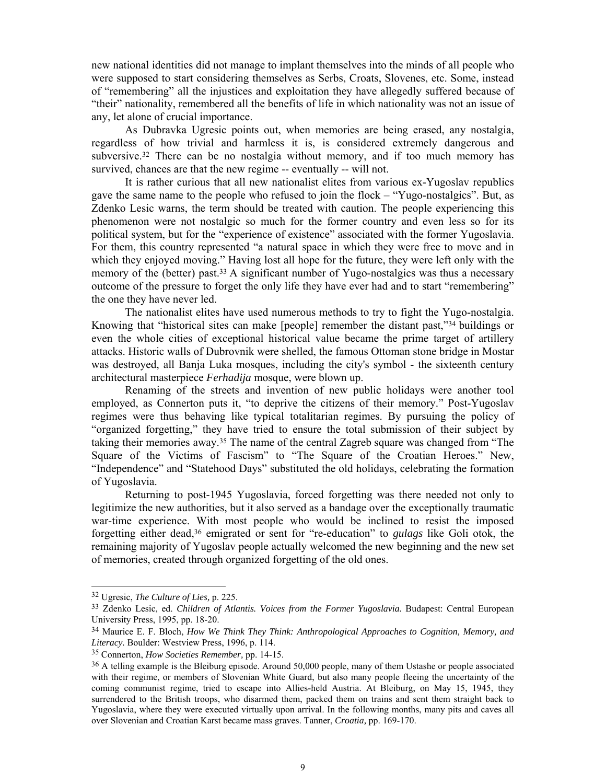new national identities did not manage to implant themselves into the minds of all people who were supposed to start considering themselves as Serbs, Croats, Slovenes, etc. Some, instead of "remembering" all the injustices and exploitation they have allegedly suffered because of "their" nationality, remembered all the benefits of life in which nationality was not an issue of any, let alone of crucial importance.

As Dubravka Ugresic points out, when memories are being erased, any nostalgia, regardless of how trivial and harmless it is, is considered extremely dangerous and subversive.32 There can be no nostalgia without memory, and if too much memory has survived, chances are that the new regime -- eventually -- will not.

 It is rather curious that all new nationalist elites from various ex-Yugoslav republics gave the same name to the people who refused to join the flock – "Yugo-nostalgics". But, as Zdenko Lesic warns, the term should be treated with caution. The people experiencing this phenomenon were not nostalgic so much for the former country and even less so for its political system, but for the "experience of existence" associated with the former Yugoslavia. For them, this country represented "a natural space in which they were free to move and in which they enjoyed moving." Having lost all hope for the future, they were left only with the memory of the (better) past.<sup>33</sup> A significant number of Yugo-nostalgics was thus a necessary outcome of the pressure to forget the only life they have ever had and to start "remembering" the one they have never led.

The nationalist elites have used numerous methods to try to fight the Yugo-nostalgia. Knowing that "historical sites can make [people] remember the distant past,"34 buildings or even the whole cities of exceptional historical value became the prime target of artillery attacks. Historic walls of Dubrovnik were shelled, the famous Ottoman stone bridge in Mostar was destroyed, all Banja Luka mosques, including the city's symbol - the sixteenth century architectural masterpiece *Ferhadija* mosque, were blown up.

Renaming of the streets and invention of new public holidays were another tool employed, as Connerton puts it, "to deprive the citizens of their memory." Post-Yugoslav regimes were thus behaving like typical totalitarian regimes. By pursuing the policy of "organized forgetting," they have tried to ensure the total submission of their subject by taking their memories away.35 The name of the central Zagreb square was changed from "The Square of the Victims of Fascism" to "The Square of the Croatian Heroes." New, "Independence" and "Statehood Days" substituted the old holidays, celebrating the formation of Yugoslavia.

Returning to post-1945 Yugoslavia, forced forgetting was there needed not only to legitimize the new authorities, but it also served as a bandage over the exceptionally traumatic war-time experience. With most people who would be inclined to resist the imposed forgetting either dead,36 emigrated or sent for "re-education" to *gulags* like Goli otok, the remaining majority of Yugoslav people actually welcomed the new beginning and the new set of memories, created through organized forgetting of the old ones.

<sup>32</sup> Ugresic, *The Culture of Lies,* p. 225.

<sup>33</sup> Zdenko Lesic, ed. *Children of Atlantis. Voices from the Former Yugoslavia.* Budapest: Central European University Press, 1995, pp. 18-20.

<sup>34</sup> Maurice E. F. Bloch, *How We Think They Think: Anthropological Approaches to Cognition, Memory, and Literacy.* Boulder: Westview Press, 1996, p. 114.

<sup>35</sup> Connerton, *How Societies Remember,* pp. 14-15.

<sup>36</sup> A telling example is the Bleiburg episode. Around 50,000 people, many of them Ustashe or people associated with their regime, or members of Slovenian White Guard, but also many people fleeing the uncertainty of the coming communist regime, tried to escape into Allies-held Austria. At Bleiburg, on May 15, 1945, they surrendered to the British troops, who disarmed them, packed them on trains and sent them straight back to Yugoslavia, where they were executed virtually upon arrival. In the following months, many pits and caves all over Slovenian and Croatian Karst became mass graves. Tanner, *Croatia,* pp. 169-170.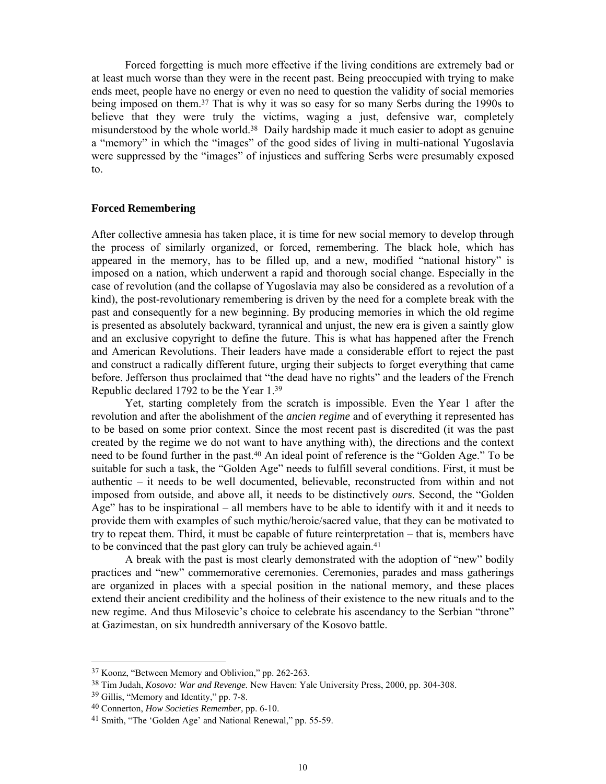Forced forgetting is much more effective if the living conditions are extremely bad or at least much worse than they were in the recent past. Being preoccupied with trying to make ends meet, people have no energy or even no need to question the validity of social memories being imposed on them.<sup>37</sup> That is why it was so easy for so many Serbs during the 1990s to believe that they were truly the victims, waging a just, defensive war, completely misunderstood by the whole world.38 Daily hardship made it much easier to adopt as genuine a "memory" in which the "images" of the good sides of living in multi-national Yugoslavia were suppressed by the "images" of injustices and suffering Serbs were presumably exposed to.

#### **Forced Remembering**

After collective amnesia has taken place, it is time for new social memory to develop through the process of similarly organized, or forced, remembering. The black hole, which has appeared in the memory, has to be filled up, and a new, modified "national history" is imposed on a nation, which underwent a rapid and thorough social change. Especially in the case of revolution (and the collapse of Yugoslavia may also be considered as a revolution of a kind), the post-revolutionary remembering is driven by the need for a complete break with the past and consequently for a new beginning. By producing memories in which the old regime is presented as absolutely backward, tyrannical and unjust, the new era is given a saintly glow and an exclusive copyright to define the future. This is what has happened after the French and American Revolutions. Their leaders have made a considerable effort to reject the past and construct a radically different future, urging their subjects to forget everything that came before. Jefferson thus proclaimed that "the dead have no rights" and the leaders of the French Republic declared 1792 to be the Year 1.39

Yet, starting completely from the scratch is impossible. Even the Year 1 after the revolution and after the abolishment of the *ancien regime* and of everything it represented has to be based on some prior context. Since the most recent past is discredited (it was the past created by the regime we do not want to have anything with), the directions and the context need to be found further in the past.40 An ideal point of reference is the "Golden Age." To be suitable for such a task, the "Golden Age" needs to fulfill several conditions. First, it must be authentic – it needs to be well documented, believable, reconstructed from within and not imposed from outside, and above all, it needs to be distinctively *ours*. Second, the "Golden Age" has to be inspirational – all members have to be able to identify with it and it needs to provide them with examples of such mythic/heroic/sacred value, that they can be motivated to try to repeat them. Third, it must be capable of future reinterpretation – that is, members have to be convinced that the past glory can truly be achieved again.<sup>41</sup>

 A break with the past is most clearly demonstrated with the adoption of "new" bodily practices and "new" commemorative ceremonies. Ceremonies, parades and mass gatherings are organized in places with a special position in the national memory, and these places extend their ancient credibility and the holiness of their existence to the new rituals and to the new regime. And thus Milosevic's choice to celebrate his ascendancy to the Serbian "throne" at Gazimestan, on six hundredth anniversary of the Kosovo battle.

<sup>37</sup> Koonz, "Between Memory and Oblivion," pp. 262-263.

<sup>38</sup> Tim Judah, *Kosovo: War and Revenge.* New Haven: Yale University Press, 2000, pp. 304-308.

<sup>39</sup> Gillis, "Memory and Identity," pp. 7-8.

<sup>40</sup> Connerton, *How Societies Remember,* pp. 6-10.

<sup>41</sup> Smith, "The 'Golden Age' and National Renewal," pp. 55-59.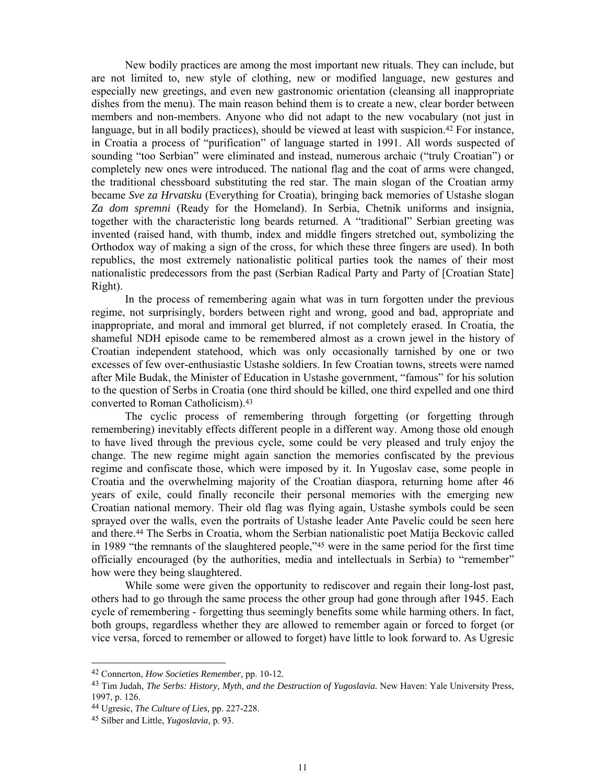New bodily practices are among the most important new rituals. They can include, but are not limited to, new style of clothing, new or modified language, new gestures and especially new greetings, and even new gastronomic orientation (cleansing all inappropriate dishes from the menu). The main reason behind them is to create a new, clear border between members and non-members. Anyone who did not adapt to the new vocabulary (not just in language, but in all bodily practices), should be viewed at least with suspicion.42 For instance, in Croatia a process of "purification" of language started in 1991. All words suspected of sounding "too Serbian" were eliminated and instead, numerous archaic ("truly Croatian") or completely new ones were introduced. The national flag and the coat of arms were changed, the traditional chessboard substituting the red star. The main slogan of the Croatian army became *Sve za Hrvatsku* (Everything for Croatia), bringing back memories of Ustashe slogan *Za dom spremni* (Ready for the Homeland). In Serbia, Chetnik uniforms and insignia, together with the characteristic long beards returned. A "traditional" Serbian greeting was invented (raised hand, with thumb, index and middle fingers stretched out, symbolizing the Orthodox way of making a sign of the cross, for which these three fingers are used). In both republics, the most extremely nationalistic political parties took the names of their most nationalistic predecessors from the past (Serbian Radical Party and Party of [Croatian State] Right).

 In the process of remembering again what was in turn forgotten under the previous regime, not surprisingly, borders between right and wrong, good and bad, appropriate and inappropriate, and moral and immoral get blurred, if not completely erased. In Croatia, the shameful NDH episode came to be remembered almost as a crown jewel in the history of Croatian independent statehood, which was only occasionally tarnished by one or two excesses of few over-enthusiastic Ustashe soldiers. In few Croatian towns, streets were named after Mile Budak, the Minister of Education in Ustashe government, "famous" for his solution to the question of Serbs in Croatia (one third should be killed, one third expelled and one third converted to Roman Catholicism).43

 The cyclic process of remembering through forgetting (or forgetting through remembering) inevitably effects different people in a different way. Among those old enough to have lived through the previous cycle, some could be very pleased and truly enjoy the change. The new regime might again sanction the memories confiscated by the previous regime and confiscate those, which were imposed by it. In Yugoslav case, some people in Croatia and the overwhelming majority of the Croatian diaspora, returning home after 46 years of exile, could finally reconcile their personal memories with the emerging new Croatian national memory. Their old flag was flying again, Ustashe symbols could be seen sprayed over the walls, even the portraits of Ustashe leader Ante Pavelic could be seen here and there.44 The Serbs in Croatia, whom the Serbian nationalistic poet Matija Beckovic called in 1989 "the remnants of the slaughtered people,"45 were in the same period for the first time officially encouraged (by the authorities, media and intellectuals in Serbia) to "remember" how were they being slaughtered.

 While some were given the opportunity to rediscover and regain their long-lost past, others had to go through the same process the other group had gone through after 1945. Each cycle of remembering - forgetting thus seemingly benefits some while harming others. In fact, both groups, regardless whether they are allowed to remember again or forced to forget (or vice versa, forced to remember or allowed to forget) have little to look forward to. As Ugresic

<sup>42</sup> Connerton, *How Societies Remember,* pp. 10-12.

<sup>43</sup> Tim Judah, *The Serbs: History, Myth, and the Destruction of Yugoslavia.* New Haven: Yale University Press, 1997, p. 126.

<sup>44</sup> Ugresic, *The Culture of Lies,* pp. 227-228.

<sup>45</sup> Silber and Little, *Yugoslavia,* p. 93.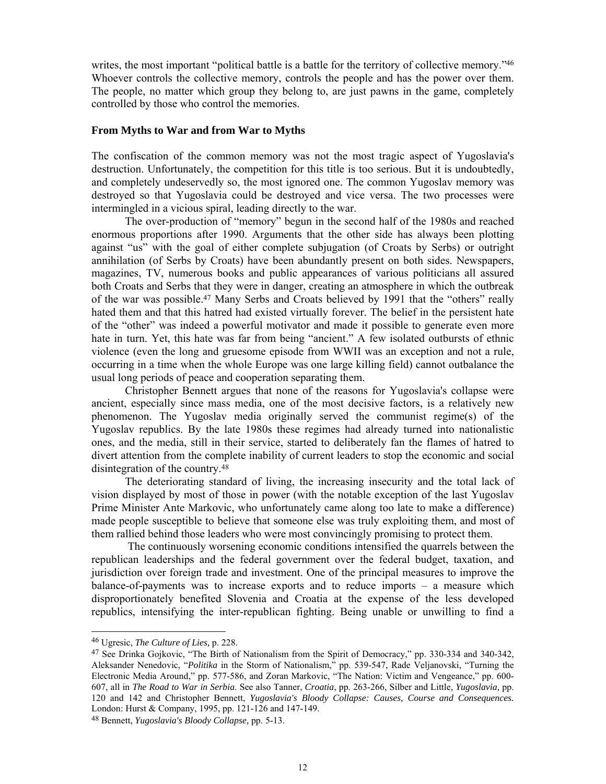writes, the most important "political battle is a battle for the territory of collective memory."<sup>46</sup> Whoever controls the collective memory, controls the people and has the power over them. The people, no matter which group they belong to, are just pawns in the game, completely controlled by those who control the memories.

### **From Myths to War and from War to Myths**

The confiscation of the common memory was not the most tragic aspect of Yugoslavia's destruction. Unfortunately, the competition for this title is too serious. But it is undoubtedly, and completely undeservedly so, the most ignored one. The common Yugoslav memory was destroyed so that Yugoslavia could be destroyed and vice versa. The two processes were intermingled in a vicious spiral, leading directly to the war.

The over-production of "memory" begun in the second half of the 1980s and reached enormous proportions after 1990. Arguments that the other side has always been plotting against "us" with the goal of either complete subjugation (of Croats by Serbs) or outright annihilation (of Serbs by Croats) have been abundantly present on both sides. Newspapers, magazines, TV, numerous books and public appearances of various politicians all assured both Croats and Serbs that they were in danger, creating an atmosphere in which the outbreak of the war was possible.47 Many Serbs and Croats believed by 1991 that the "others" really hated them and that this hatred had existed virtually forever. The belief in the persistent hate of the "other" was indeed a powerful motivator and made it possible to generate even more hate in turn. Yet, this hate was far from being "ancient." A few isolated outbursts of ethnic violence (even the long and gruesome episode from WWII was an exception and not a rule, occurring in a time when the whole Europe was one large killing field) cannot outbalance the usual long periods of peace and cooperation separating them.

Christopher Bennett argues that none of the reasons for Yugoslavia's collapse were ancient, especially since mass media, one of the most decisive factors, is a relatively new phenomenon. The Yugoslav media originally served the communist regime(s) of the Yugoslav republics. By the late 1980s these regimes had already turned into nationalistic ones, and the media, still in their service, started to deliberately fan the flames of hatred to divert attention from the complete inability of current leaders to stop the economic and social disintegration of the country.48

The deteriorating standard of living, the increasing insecurity and the total lack of vision displayed by most of those in power (with the notable exception of the last Yugoslav Prime Minister Ante Markovic, who unfortunately came along too late to make a difference) made people susceptible to believe that someone else was truly exploiting them, and most of them rallied behind those leaders who were most convincingly promising to protect them.

 The continuously worsening economic conditions intensified the quarrels between the republican leaderships and the federal government over the federal budget, taxation, and jurisdiction over foreign trade and investment. One of the principal measures to improve the balance-of-payments was to increase exports and to reduce imports – a measure which disproportionately benefited Slovenia and Croatia at the expense of the less developed republics, intensifying the inter-republican fighting. Being unable or unwilling to find a

<sup>46</sup> Ugresic, *The Culture of Lies,* p. 228.

<sup>47</sup> See Drinka Gojkovic, "The Birth of Nationalism from the Spirit of Democracy," pp. 330-334 and 340-342, Aleksander Nenedovic, "*Politika* in the Storm of Nationalism," pp. 539-547, Rade Veljanovski, "Turning the Electronic Media Around," pp. 577-586, and Zoran Markovic, "The Nation: Victim and Vengeance," pp. 600- 607, all in *The Road to War in Serbia*. See also Tanner, *Croatia*, pp. 263-266, Silber and Little, *Yugoslavia,* pp. 120 and 142 and Christopher Bennett, *Yugoslavia's Bloody Collapse: Causes, Course and Consequences.* London: Hurst & Company, 1995, pp. 121-126 and 147-149.

<sup>48</sup> Bennett, *Yugoslavia's Bloody Collapse,* pp. 5-13.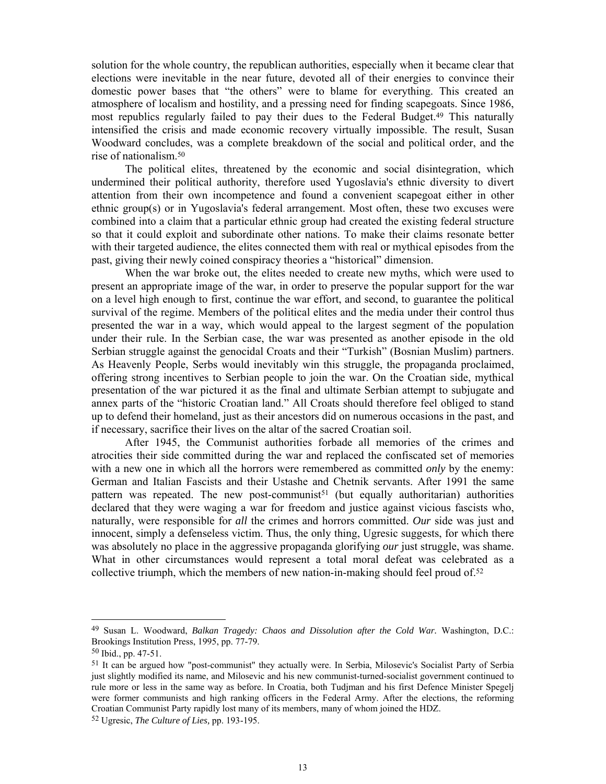solution for the whole country, the republican authorities, especially when it became clear that elections were inevitable in the near future, devoted all of their energies to convince their domestic power bases that "the others" were to blame for everything. This created an atmosphere of localism and hostility, and a pressing need for finding scapegoats. Since 1986, most republics regularly failed to pay their dues to the Federal Budget.49 This naturally intensified the crisis and made economic recovery virtually impossible. The result, Susan Woodward concludes, was a complete breakdown of the social and political order, and the rise of nationalism.50

 The political elites, threatened by the economic and social disintegration, which undermined their political authority, therefore used Yugoslavia's ethnic diversity to divert attention from their own incompetence and found a convenient scapegoat either in other ethnic group(s) or in Yugoslavia's federal arrangement. Most often, these two excuses were combined into a claim that a particular ethnic group had created the existing federal structure so that it could exploit and subordinate other nations. To make their claims resonate better with their targeted audience, the elites connected them with real or mythical episodes from the past, giving their newly coined conspiracy theories a "historical" dimension.

 When the war broke out, the elites needed to create new myths, which were used to present an appropriate image of the war, in order to preserve the popular support for the war on a level high enough to first, continue the war effort, and second, to guarantee the political survival of the regime. Members of the political elites and the media under their control thus presented the war in a way, which would appeal to the largest segment of the population under their rule. In the Serbian case, the war was presented as another episode in the old Serbian struggle against the genocidal Croats and their "Turkish" (Bosnian Muslim) partners. As Heavenly People, Serbs would inevitably win this struggle, the propaganda proclaimed, offering strong incentives to Serbian people to join the war. On the Croatian side, mythical presentation of the war pictured it as the final and ultimate Serbian attempt to subjugate and annex parts of the "historic Croatian land." All Croats should therefore feel obliged to stand up to defend their homeland, just as their ancestors did on numerous occasions in the past, and if necessary, sacrifice their lives on the altar of the sacred Croatian soil.

 After 1945, the Communist authorities forbade all memories of the crimes and atrocities their side committed during the war and replaced the confiscated set of memories with a new one in which all the horrors were remembered as committed *only* by the enemy: German and Italian Fascists and their Ustashe and Chetnik servants. After 1991 the same pattern was repeated. The new post-communist<sup>51</sup> (but equally authoritarian) authorities declared that they were waging a war for freedom and justice against vicious fascists who, naturally, were responsible for *all* the crimes and horrors committed. *Our* side was just and innocent, simply a defenseless victim. Thus, the only thing, Ugresic suggests, for which there was absolutely no place in the aggressive propaganda glorifying *our* just struggle, was shame. What in other circumstances would represent a total moral defeat was celebrated as a collective triumph, which the members of new nation-in-making should feel proud of.<sup>52</sup>

<sup>49</sup> Susan L. Woodward, *Balkan Tragedy: Chaos and Dissolution after the Cold War.* Washington, D.C.: Brookings Institution Press, 1995, pp. 77-79.

<sup>50</sup> Ibid., pp. 47-51.

<sup>51</sup> It can be argued how "post-communist" they actually were. In Serbia, Milosevic's Socialist Party of Serbia just slightly modified its name, and Milosevic and his new communist-turned-socialist government continued to rule more or less in the same way as before. In Croatia, both Tudjman and his first Defence Minister Spegelj were former communists and high ranking officers in the Federal Army. After the elections, the reforming Croatian Communist Party rapidly lost many of its members, many of whom joined the HDZ.

<sup>52</sup> Ugresic, *The Culture of Lies,* pp. 193-195.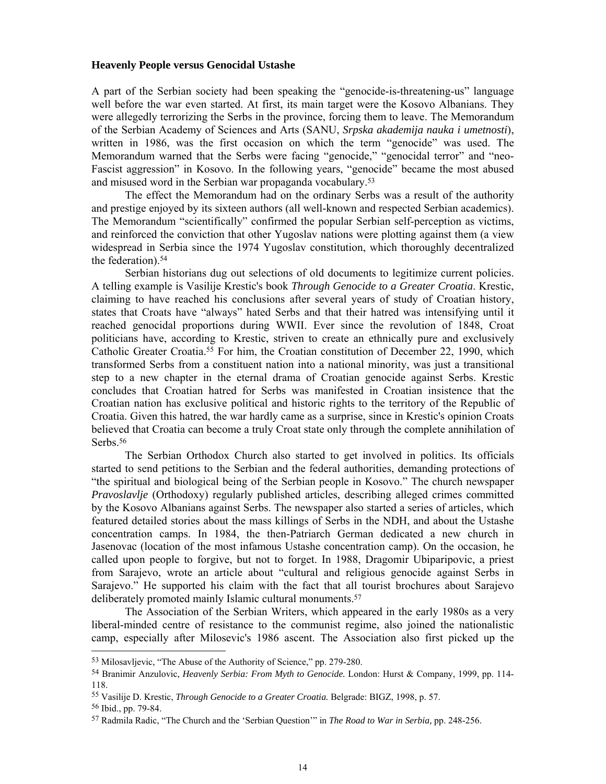# **Heavenly People versus Genocidal Ustashe**

A part of the Serbian society had been speaking the "genocide-is-threatening-us" language well before the war even started. At first, its main target were the Kosovo Albanians. They were allegedly terrorizing the Serbs in the province, forcing them to leave. The Memorandum of the Serbian Academy of Sciences and Arts (SANU, *Srpska akademija nauka i umetnosti*), written in 1986, was the first occasion on which the term "genocide" was used. The Memorandum warned that the Serbs were facing "genocide," "genocidal terror" and "neo-Fascist aggression" in Kosovo. In the following years, "genocide" became the most abused and misused word in the Serbian war propaganda vocabulary.53

 The effect the Memorandum had on the ordinary Serbs was a result of the authority and prestige enjoyed by its sixteen authors (all well-known and respected Serbian academics). The Memorandum "scientifically" confirmed the popular Serbian self-perception as victims, and reinforced the conviction that other Yugoslav nations were plotting against them (a view widespread in Serbia since the 1974 Yugoslav constitution, which thoroughly decentralized the federation).54

Serbian historians dug out selections of old documents to legitimize current policies. A telling example is Vasilije Krestic's book *Through Genocide to a Greater Croatia*. Krestic, claiming to have reached his conclusions after several years of study of Croatian history, states that Croats have "always" hated Serbs and that their hatred was intensifying until it reached genocidal proportions during WWII. Ever since the revolution of 1848, Croat politicians have, according to Krestic, striven to create an ethnically pure and exclusively Catholic Greater Croatia.55 For him, the Croatian constitution of December 22, 1990, which transformed Serbs from a constituent nation into a national minority, was just a transitional step to a new chapter in the eternal drama of Croatian genocide against Serbs. Krestic concludes that Croatian hatred for Serbs was manifested in Croatian insistence that the Croatian nation has exclusive political and historic rights to the territory of the Republic of Croatia. Given this hatred, the war hardly came as a surprise, since in Krestic's opinion Croats believed that Croatia can become a truly Croat state only through the complete annihilation of Serbs.<sup>56</sup>

 The Serbian Orthodox Church also started to get involved in politics. Its officials started to send petitions to the Serbian and the federal authorities, demanding protections of "the spiritual and biological being of the Serbian people in Kosovo." The church newspaper *Pravoslavlje* (Orthodoxy) regularly published articles, describing alleged crimes committed by the Kosovo Albanians against Serbs. The newspaper also started a series of articles, which featured detailed stories about the mass killings of Serbs in the NDH, and about the Ustashe concentration camps. In 1984, the then-Patriarch German dedicated a new church in Jasenovac (location of the most infamous Ustashe concentration camp). On the occasion, he called upon people to forgive, but not to forget. In 1988, Dragomir Ubiparipovic, a priest from Sarajevo, wrote an article about "cultural and religious genocide against Serbs in Sarajevo." He supported his claim with the fact that all tourist brochures about Sarajevo deliberately promoted mainly Islamic cultural monuments.<sup>57</sup>

 The Association of the Serbian Writers, which appeared in the early 1980s as a very liberal-minded centre of resistance to the communist regime, also joined the nationalistic camp, especially after Milosevic's 1986 ascent. The Association also first picked up the

<sup>53</sup> Milosavljevic, "The Abuse of the Authority of Science," pp. 279-280.

<sup>54</sup> Branimir Anzulovic, *Heavenly Serbia: From Myth to Genocide.* London: Hurst & Company, 1999, pp. 114- 118.

<sup>55</sup> Vasilije D. Krestic, *Through Genocide to a Greater Croatia.* Belgrade: BIGZ, 1998, p. 57.

<sup>56</sup> Ibid., pp. 79-84.

<sup>57</sup> Radmila Radic, "The Church and the 'Serbian Question'" in *The Road to War in Serbia,* pp. 248-256.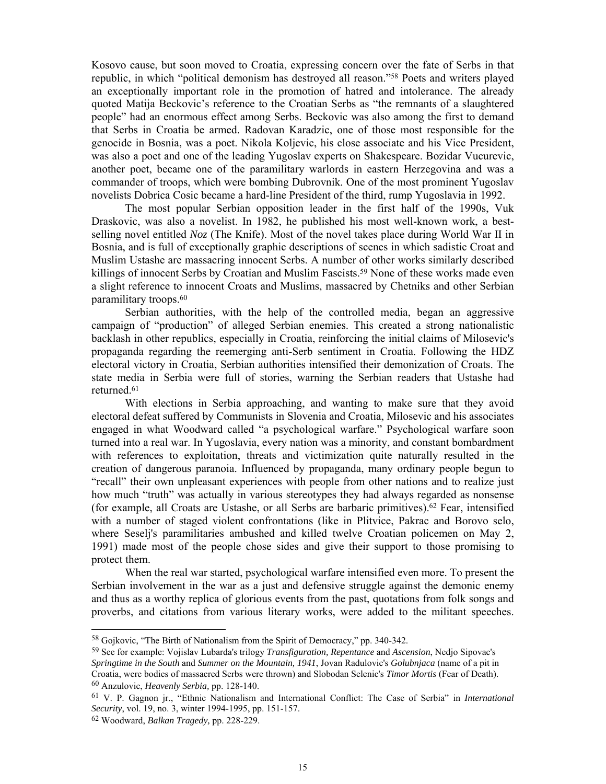Kosovo cause, but soon moved to Croatia, expressing concern over the fate of Serbs in that republic, in which "political demonism has destroyed all reason."58 Poets and writers played an exceptionally important role in the promotion of hatred and intolerance. The already quoted Matija Beckovic's reference to the Croatian Serbs as "the remnants of a slaughtered people" had an enormous effect among Serbs. Beckovic was also among the first to demand that Serbs in Croatia be armed. Radovan Karadzic, one of those most responsible for the genocide in Bosnia, was a poet. Nikola Koljevic, his close associate and his Vice President, was also a poet and one of the leading Yugoslav experts on Shakespeare. Bozidar Vucurevic, another poet, became one of the paramilitary warlords in eastern Herzegovina and was a commander of troops, which were bombing Dubrovnik. One of the most prominent Yugoslav novelists Dobrica Cosic became a hard-line President of the third, rump Yugoslavia in 1992.

 The most popular Serbian opposition leader in the first half of the 1990s, Vuk Draskovic, was also a novelist. In 1982, he published his most well-known work, a bestselling novel entitled *Noz* (The Knife). Most of the novel takes place during World War II in Bosnia, and is full of exceptionally graphic descriptions of scenes in which sadistic Croat and Muslim Ustashe are massacring innocent Serbs. A number of other works similarly described killings of innocent Serbs by Croatian and Muslim Fascists.<sup>59</sup> None of these works made even a slight reference to innocent Croats and Muslims, massacred by Chetniks and other Serbian paramilitary troops.60

Serbian authorities, with the help of the controlled media, began an aggressive campaign of "production" of alleged Serbian enemies. This created a strong nationalistic backlash in other republics, especially in Croatia, reinforcing the initial claims of Milosevic's propaganda regarding the reemerging anti-Serb sentiment in Croatia. Following the HDZ electoral victory in Croatia, Serbian authorities intensified their demonization of Croats. The state media in Serbia were full of stories, warning the Serbian readers that Ustashe had returned.61

 With elections in Serbia approaching, and wanting to make sure that they avoid electoral defeat suffered by Communists in Slovenia and Croatia, Milosevic and his associates engaged in what Woodward called "a psychological warfare." Psychological warfare soon turned into a real war. In Yugoslavia, every nation was a minority, and constant bombardment with references to exploitation, threats and victimization quite naturally resulted in the creation of dangerous paranoia. Influenced by propaganda, many ordinary people begun to "recall" their own unpleasant experiences with people from other nations and to realize just how much "truth" was actually in various stereotypes they had always regarded as nonsense (for example, all Croats are Ustashe, or all Serbs are barbaric primitives).62 Fear, intensified with a number of staged violent confrontations (like in Plitvice, Pakrac and Borovo selo, where Seselj's paramilitaries ambushed and killed twelve Croatian policemen on May 2, 1991) made most of the people chose sides and give their support to those promising to protect them.

 When the real war started, psychological warfare intensified even more. To present the Serbian involvement in the war as a just and defensive struggle against the demonic enemy and thus as a worthy replica of glorious events from the past, quotations from folk songs and proverbs, and citations from various literary works, were added to the militant speeches.

<sup>58</sup> Gojkovic, "The Birth of Nationalism from the Spirit of Democracy," pp. 340-342.

<sup>59</sup> See for example: Vojislav Lubarda's trilogy *Transfiguration, Repentance* and *Ascension*, Nedjo Sipovac's *Springtime in the South* and *Summer on the Mountain, 1941*, Jovan Radulovic's *Golubnjaca* (name of a pit in Croatia, were bodies of massacred Serbs were thrown) and Slobodan Selenic's *Timor Mortis* (Fear of Death). 60 Anzulovic, *Heavenly Serbia,* pp. 128-140.

<sup>61</sup> V. P. Gagnon jr., "Ethnic Nationalism and International Conflict: The Case of Serbia" in *International Security*, vol. 19, no. 3, winter 1994-1995, pp. 151-157.

<sup>62</sup> Woodward, *Balkan Tragedy,* pp. 228-229.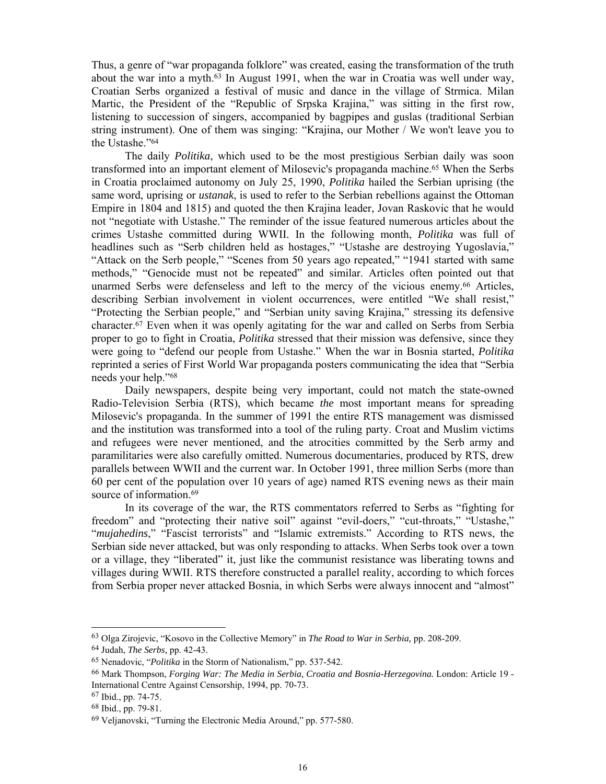Thus, a genre of "war propaganda folklore" was created, easing the transformation of the truth about the war into a myth.63 In August 1991, when the war in Croatia was well under way, Croatian Serbs organized a festival of music and dance in the village of Strmica. Milan Martic, the President of the "Republic of Srpska Krajina," was sitting in the first row, listening to succession of singers, accompanied by bagpipes and guslas (traditional Serbian string instrument). One of them was singing: "Krajina, our Mother / We won't leave you to the Ustashe."64

 The daily *Politika*, which used to be the most prestigious Serbian daily was soon transformed into an important element of Milosevic's propaganda machine.65 When the Serbs in Croatia proclaimed autonomy on July 25, 1990, *Politika* hailed the Serbian uprising (the same word, uprising or *ustanak*, is used to refer to the Serbian rebellions against the Ottoman Empire in 1804 and 1815) and quoted the then Krajina leader, Jovan Raskovic that he would not "negotiate with Ustashe." The reminder of the issue featured numerous articles about the crimes Ustashe committed during WWII. In the following month, *Politika* was full of headlines such as "Serb children held as hostages," "Ustashe are destroying Yugoslavia," "Attack on the Serb people," "Scenes from 50 years ago repeated," "1941 started with same methods," "Genocide must not be repeated" and similar. Articles often pointed out that unarmed Serbs were defenseless and left to the mercy of the vicious enemy.<sup>66</sup> Articles, describing Serbian involvement in violent occurrences, were entitled "We shall resist," "Protecting the Serbian people," and "Serbian unity saving Krajina," stressing its defensive character.67 Even when it was openly agitating for the war and called on Serbs from Serbia proper to go to fight in Croatia, *Politika* stressed that their mission was defensive, since they were going to "defend our people from Ustashe." When the war in Bosnia started, *Politika* reprinted a series of First World War propaganda posters communicating the idea that "Serbia needs your help."68

 Daily newspapers, despite being very important, could not match the state-owned Radio-Television Serbia (RTS), which became *the* most important means for spreading Milosevic's propaganda. In the summer of 1991 the entire RTS management was dismissed and the institution was transformed into a tool of the ruling party. Croat and Muslim victims and refugees were never mentioned, and the atrocities committed by the Serb army and paramilitaries were also carefully omitted. Numerous documentaries, produced by RTS, drew parallels between WWII and the current war. In October 1991, three million Serbs (more than 60 per cent of the population over 10 years of age) named RTS evening news as their main source of information.<sup>69</sup>

 In its coverage of the war, the RTS commentators referred to Serbs as "fighting for freedom" and "protecting their native soil" against "evil-doers," "cut-throats," "Ustashe," "*mujahedins*," "Fascist terrorists" and "Islamic extremists." According to RTS news, the Serbian side never attacked, but was only responding to attacks. When Serbs took over a town or a village, they "liberated" it, just like the communist resistance was liberating towns and villages during WWII. RTS therefore constructed a parallel reality, according to which forces from Serbia proper never attacked Bosnia, in which Serbs were always innocent and "almost"

<sup>63</sup> Olga Zirojevic, "Kosovo in the Collective Memory" in *The Road to War in Serbia,* pp. 208-209.

<sup>64</sup> Judah, *The Serbs,* pp. 42-43.

<sup>65</sup> Nenadovic, "*Politika* in the Storm of Nationalism," pp. 537-542.

<sup>66</sup> Mark Thompson, *Forging War: The Media in Serbia, Croatia and Bosnia-Herzegovina.* London: Article 19 - International Centre Against Censorship, 1994, pp. 70-73.

<sup>67</sup> Ibid., pp. 74-75.

<sup>68</sup> Ibid., pp. 79-81.

<sup>69</sup> Veljanovski, "Turning the Electronic Media Around," pp. 577-580.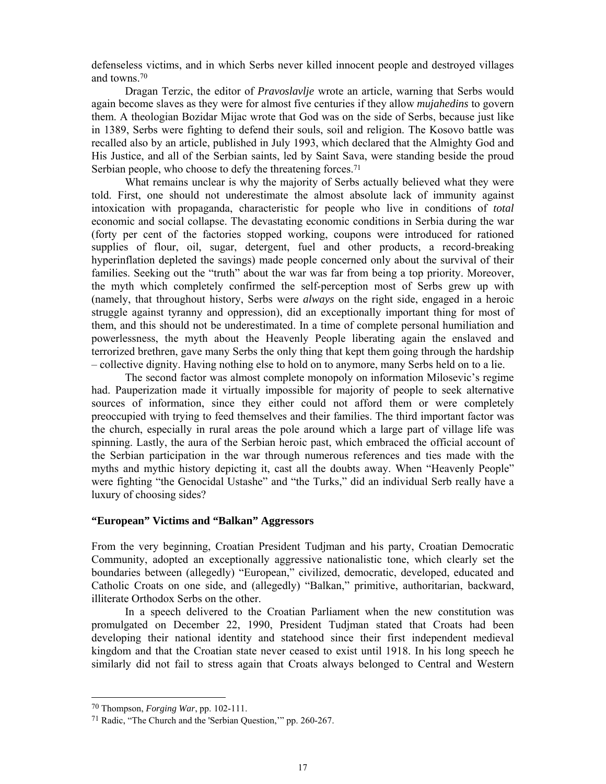defenseless victims, and in which Serbs never killed innocent people and destroyed villages and towns.70

 Dragan Terzic, the editor of *Pravoslavlje* wrote an article, warning that Serbs would again become slaves as they were for almost five centuries if they allow *mujahedins* to govern them. A theologian Bozidar Mijac wrote that God was on the side of Serbs, because just like in 1389, Serbs were fighting to defend their souls, soil and religion. The Kosovo battle was recalled also by an article, published in July 1993, which declared that the Almighty God and His Justice, and all of the Serbian saints, led by Saint Sava, were standing beside the proud Serbian people, who choose to defy the threatening forces.<sup>71</sup>

What remains unclear is why the majority of Serbs actually believed what they were told. First, one should not underestimate the almost absolute lack of immunity against intoxication with propaganda, characteristic for people who live in conditions of *total* economic and social collapse. The devastating economic conditions in Serbia during the war (forty per cent of the factories stopped working, coupons were introduced for rationed supplies of flour, oil, sugar, detergent, fuel and other products, a record-breaking hyperinflation depleted the savings) made people concerned only about the survival of their families. Seeking out the "truth" about the war was far from being a top priority. Moreover, the myth which completely confirmed the self-perception most of Serbs grew up with (namely, that throughout history, Serbs were *always* on the right side, engaged in a heroic struggle against tyranny and oppression), did an exceptionally important thing for most of them, and this should not be underestimated. In a time of complete personal humiliation and powerlessness, the myth about the Heavenly People liberating again the enslaved and terrorized brethren, gave many Serbs the only thing that kept them going through the hardship – collective dignity. Having nothing else to hold on to anymore, many Serbs held on to a lie.

 The second factor was almost complete monopoly on information Milosevic's regime had. Pauperization made it virtually impossible for majority of people to seek alternative sources of information, since they either could not afford them or were completely preoccupied with trying to feed themselves and their families. The third important factor was the church, especially in rural areas the pole around which a large part of village life was spinning. Lastly, the aura of the Serbian heroic past, which embraced the official account of the Serbian participation in the war through numerous references and ties made with the myths and mythic history depicting it, cast all the doubts away. When "Heavenly People" were fighting "the Genocidal Ustashe" and "the Turks," did an individual Serb really have a luxury of choosing sides?

# **"European" Victims and "Balkan" Aggressors**

From the very beginning, Croatian President Tudjman and his party, Croatian Democratic Community, adopted an exceptionally aggressive nationalistic tone, which clearly set the boundaries between (allegedly) "European," civilized, democratic, developed, educated and Catholic Croats on one side, and (allegedly) "Balkan," primitive, authoritarian, backward, illiterate Orthodox Serbs on the other.

 In a speech delivered to the Croatian Parliament when the new constitution was promulgated on December 22, 1990, President Tudjman stated that Croats had been developing their national identity and statehood since their first independent medieval kingdom and that the Croatian state never ceased to exist until 1918. In his long speech he similarly did not fail to stress again that Croats always belonged to Central and Western

<sup>70</sup> Thompson, *Forging War*, pp. 102-111.

<sup>71</sup> Radic, "The Church and the 'Serbian Question,'" pp. 260-267.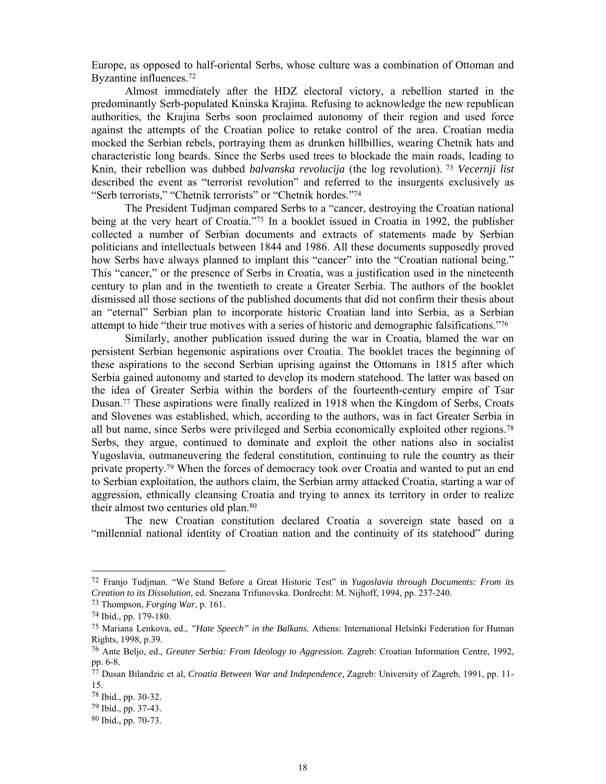Europe, as opposed to half-oriental Serbs, whose culture was a combination of Ottoman and Byzantine influences.72

 Almost immediately after the HDZ electoral victory, a rebellion started in the predominantly Serb-populated Kninska Krajina. Refusing to acknowledge the new republican authorities, the Krajina Serbs soon proclaimed autonomy of their region and used force against the attempts of the Croatian police to retake control of the area. Croatian media mocked the Serbian rebels, portraying them as drunken hillbillies, wearing Chetnik hats and characteristic long beards. Since the Serbs used trees to blockade the main roads, leading to Knin, their rebellion was dubbed *balvanska revolucija* (the log revolution). 73 *Vecernji list* described the event as "terrorist revolution" and referred to the insurgents exclusively as "Serb terrorists," "Chetnik terrorists" or "Chetnik hordes."74

The President Tudjman compared Serbs to a "cancer, destroying the Croatian national being at the very heart of Croatia."75 In a booklet issued in Croatia in 1992, the publisher collected a number of Serbian documents and extracts of statements made by Serbian politicians and intellectuals between 1844 and 1986. All these documents supposedly proved how Serbs have always planned to implant this "cancer" into the "Croatian national being." This "cancer," or the presence of Serbs in Croatia, was a justification used in the nineteenth century to plan and in the twentieth to create a Greater Serbia. The authors of the booklet dismissed all those sections of the published documents that did not confirm their thesis about an "eternal" Serbian plan to incorporate historic Croatian land into Serbia, as a Serbian attempt to hide "their true motives with a series of historic and demographic falsifications."76

Similarly, another publication issued during the war in Croatia, blamed the war on persistent Serbian hegemonic aspirations over Croatia. The booklet traces the beginning of these aspirations to the second Serbian uprising against the Ottomans in 1815 after which Serbia gained autonomy and started to develop its modern statehood. The latter was based on the idea of Greater Serbia within the borders of the fourteenth-century empire of Tsar Dusan.<sup>77</sup> These aspirations were finally realized in 1918 when the Kingdom of Serbs, Croats and Slovenes was established, which, according to the authors, was in fact Greater Serbia in all but name, since Serbs were privileged and Serbia economically exploited other regions.78 Serbs, they argue, continued to dominate and exploit the other nations also in socialist Yugoslavia, outmaneuvering the federal constitution, continuing to rule the country as their private property.79 When the forces of democracy took over Croatia and wanted to put an end to Serbian exploitation, the authors claim, the Serbian army attacked Croatia, starting a war of aggression, ethnically cleansing Croatia and trying to annex its territory in order to realize their almost two centuries old plan.80

 The new Croatian constitution declared Croatia a sovereign state based on a "millennial national identity of Croatian nation and the continuity of its statehood" during

<sup>72</sup> Franjo Tudjman. "We Stand Before a Great Historic Test" in *Yugoslavia through Documents: From its Creation to its Dissolution,* ed. Snezana Trifunovska. Dordrecht: M. Nijhoff, 1994, pp. 237-240.

<sup>73</sup> Thompson, *Forging War*, p. 161.

<sup>74</sup> Ibid., pp. 179-180.

<sup>75</sup> Mariana Lenkova, ed., *"Hate Speech" in the Balkans.* Athens: International Helsinki Federation for Human Rights, 1998, p.39.

<sup>76</sup> Ante Beljo, ed., *Greater Serbia: From Ideology to Aggression.* Zagreb: Croatian Information Centre, 1992, pp. 6-8.

<sup>77</sup> Dusan Bilandzic et al, *Croatia Between War and Independence,* Zagreb: University of Zagreb, 1991, pp. 11- 15.

<sup>78</sup> Ibid., pp. 30-32.

<sup>79</sup> Ibid., pp. 37-43.

<sup>80</sup> Ibid., pp. 70-73.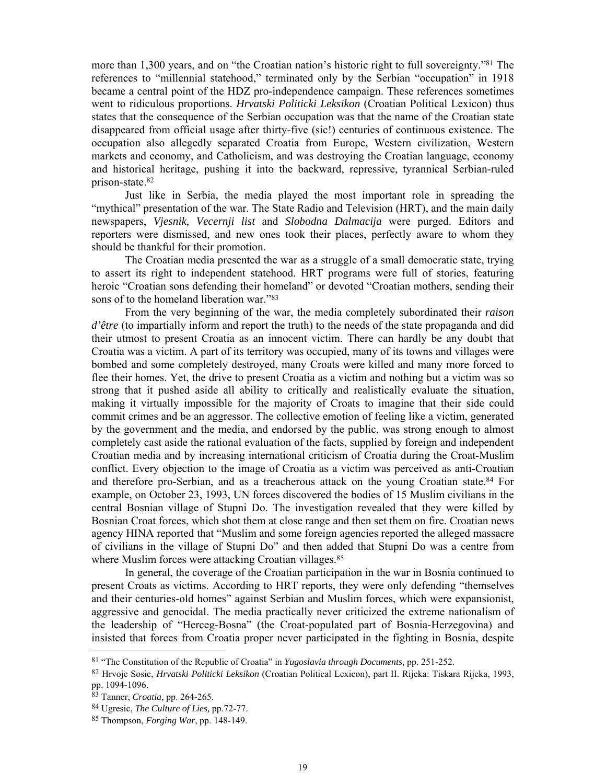more than 1,300 years, and on "the Croatian nation's historic right to full sovereignty."81 The references to "millennial statehood," terminated only by the Serbian "occupation" in 1918 became a central point of the HDZ pro-independence campaign. These references sometimes went to ridiculous proportions. *Hrvatski Politicki Leksikon* (Croatian Political Lexicon) thus states that the consequence of the Serbian occupation was that the name of the Croatian state disappeared from official usage after thirty-five (sic!) centuries of continuous existence. The occupation also allegedly separated Croatia from Europe, Western civilization, Western markets and economy, and Catholicism, and was destroying the Croatian language, economy and historical heritage, pushing it into the backward, repressive, tyrannical Serbian-ruled prison-state.82

 Just like in Serbia, the media played the most important role in spreading the "mythical" presentation of the war. The State Radio and Television (HRT), and the main daily newspapers, *Vjesnik, Vecernji list* and *Slobodna Dalmacija* were purged. Editors and reporters were dismissed, and new ones took their places, perfectly aware to whom they should be thankful for their promotion.

 The Croatian media presented the war as a struggle of a small democratic state, trying to assert its right to independent statehood. HRT programs were full of stories, featuring heroic "Croatian sons defending their homeland" or devoted "Croatian mothers, sending their sons of to the homeland liberation war."83

 From the very beginning of the war, the media completely subordinated their *raison d'être* (to impartially inform and report the truth) to the needs of the state propaganda and did their utmost to present Croatia as an innocent victim. There can hardly be any doubt that Croatia was a victim. A part of its territory was occupied, many of its towns and villages were bombed and some completely destroyed, many Croats were killed and many more forced to flee their homes. Yet, the drive to present Croatia as a victim and nothing but a victim was so strong that it pushed aside all ability to critically and realistically evaluate the situation, making it virtually impossible for the majority of Croats to imagine that their side could commit crimes and be an aggressor. The collective emotion of feeling like a victim, generated by the government and the media, and endorsed by the public, was strong enough to almost completely cast aside the rational evaluation of the facts, supplied by foreign and independent Croatian media and by increasing international criticism of Croatia during the Croat-Muslim conflict. Every objection to the image of Croatia as a victim was perceived as anti-Croatian and therefore pro-Serbian, and as a treacherous attack on the young Croatian state.84 For example, on October 23, 1993, UN forces discovered the bodies of 15 Muslim civilians in the central Bosnian village of Stupni Do. The investigation revealed that they were killed by Bosnian Croat forces, which shot them at close range and then set them on fire. Croatian news agency HINA reported that "Muslim and some foreign agencies reported the alleged massacre of civilians in the village of Stupni Do" and then added that Stupni Do was a centre from where Muslim forces were attacking Croatian villages.<sup>85</sup>

 In general, the coverage of the Croatian participation in the war in Bosnia continued to present Croats as victims. According to HRT reports, they were only defending "themselves and their centuries-old homes" against Serbian and Muslim forces, which were expansionist, aggressive and genocidal. The media practically never criticized the extreme nationalism of the leadership of "Herceg-Bosna" (the Croat-populated part of Bosnia-Herzegovina) and insisted that forces from Croatia proper never participated in the fighting in Bosnia, despite

<sup>81 &</sup>quot;The Constitution of the Republic of Croatia" in *Yugoslavia through Documents,* pp. 251-252.

<sup>82</sup> Hrvoje Sosic, *Hrvatski Politicki Leksikon* (Croatian Political Lexicon), part II. Rijeka: Tiskara Rijeka, 1993, pp. 1094-1096.

<sup>83</sup> Tanner, *Croatia*, pp. 264-265.

<sup>84</sup> Ugresic, *The Culture of Lies,* pp.72-77.

<sup>85</sup> Thompson, *Forging War*, pp. 148-149.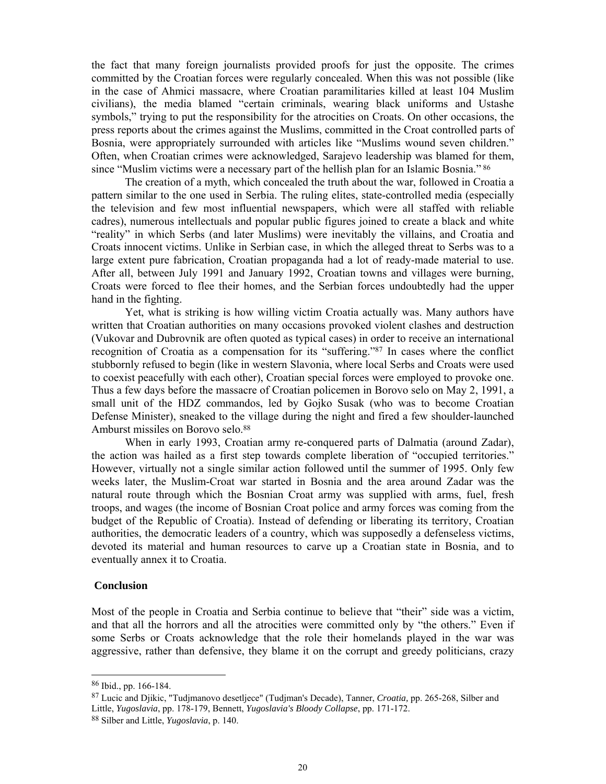the fact that many foreign journalists provided proofs for just the opposite. The crimes committed by the Croatian forces were regularly concealed. When this was not possible (like in the case of Ahmici massacre, where Croatian paramilitaries killed at least 104 Muslim civilians), the media blamed "certain criminals, wearing black uniforms and Ustashe symbols," trying to put the responsibility for the atrocities on Croats. On other occasions, the press reports about the crimes against the Muslims, committed in the Croat controlled parts of Bosnia, were appropriately surrounded with articles like "Muslims wound seven children." Often, when Croatian crimes were acknowledged, Sarajevo leadership was blamed for them, since "Muslim victims were a necessary part of the hellish plan for an Islamic Bosnia." 86

 The creation of a myth, which concealed the truth about the war, followed in Croatia a pattern similar to the one used in Serbia. The ruling elites, state-controlled media (especially the television and few most influential newspapers, which were all staffed with reliable cadres), numerous intellectuals and popular public figures joined to create a black and white "reality" in which Serbs (and later Muslims) were inevitably the villains, and Croatia and Croats innocent victims. Unlike in Serbian case, in which the alleged threat to Serbs was to a large extent pure fabrication, Croatian propaganda had a lot of ready-made material to use. After all, between July 1991 and January 1992, Croatian towns and villages were burning, Croats were forced to flee their homes, and the Serbian forces undoubtedly had the upper hand in the fighting.

 Yet, what is striking is how willing victim Croatia actually was. Many authors have written that Croatian authorities on many occasions provoked violent clashes and destruction (Vukovar and Dubrovnik are often quoted as typical cases) in order to receive an international recognition of Croatia as a compensation for its "suffering."87 In cases where the conflict stubbornly refused to begin (like in western Slavonia, where local Serbs and Croats were used to coexist peacefully with each other), Croatian special forces were employed to provoke one. Thus a few days before the massacre of Croatian policemen in Borovo selo on May 2, 1991, a small unit of the HDZ commandos, led by Gojko Susak (who was to become Croatian Defense Minister), sneaked to the village during the night and fired a few shoulder-launched Amburst missiles on Borovo selo.88

When in early 1993, Croatian army re-conquered parts of Dalmatia (around Zadar), the action was hailed as a first step towards complete liberation of "occupied territories." However, virtually not a single similar action followed until the summer of 1995. Only few weeks later, the Muslim-Croat war started in Bosnia and the area around Zadar was the natural route through which the Bosnian Croat army was supplied with arms, fuel, fresh troops, and wages (the income of Bosnian Croat police and army forces was coming from the budget of the Republic of Croatia). Instead of defending or liberating its territory, Croatian authorities, the democratic leaders of a country, which was supposedly a defenseless victims, devoted its material and human resources to carve up a Croatian state in Bosnia, and to eventually annex it to Croatia.

#### **Conclusion**

Most of the people in Croatia and Serbia continue to believe that "their" side was a victim, and that all the horrors and all the atrocities were committed only by "the others." Even if some Serbs or Croats acknowledge that the role their homelands played in the war was aggressive, rather than defensive, they blame it on the corrupt and greedy politicians, crazy

<sup>86</sup> Ibid., pp. 166-184.

<sup>87</sup> Lucic and Djikic, "Tudjmanovo desetljece" (Tudjman's Decade), Tanner, *Croatia,* pp. 265-268, Silber and Little, *Yugoslavia*, pp. 178-179, Bennett, *Yugoslavia's Bloody Collapse*, pp. 171-172.

<sup>88</sup> Silber and Little, *Yugoslavia*, p. 140.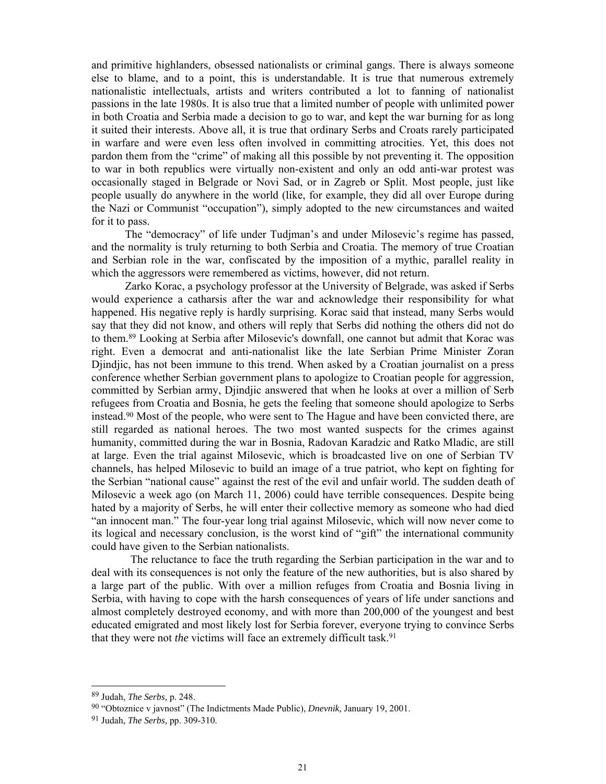and primitive highlanders, obsessed nationalists or criminal gangs. There is always someone else to blame, and to a point, this is understandable. It is true that numerous extremely nationalistic intellectuals, artists and writers contributed a lot to fanning of nationalist passions in the late 1980s. It is also true that a limited number of people with unlimited power in both Croatia and Serbia made a decision to go to war, and kept the war burning for as long it suited their interests. Above all, it is true that ordinary Serbs and Croats rarely participated in warfare and were even less often involved in committing atrocities. Yet, this does not pardon them from the "crime" of making all this possible by not preventing it. The opposition to war in both republics were virtually non-existent and only an odd anti-war protest was occasionally staged in Belgrade or Novi Sad, or in Zagreb or Split. Most people, just like people usually do anywhere in the world (like, for example, they did all over Europe during the Nazi or Communist "occupation"), simply adopted to the new circumstances and waited for it to pass.

 The "democracy" of life under Tudjman's and under Milosevic's regime has passed, and the normality is truly returning to both Serbia and Croatia. The memory of true Croatian and Serbian role in the war, confiscated by the imposition of a mythic, parallel reality in which the aggressors were remembered as victims, however, did not return.

Zarko Korac, a psychology professor at the University of Belgrade, was asked if Serbs would experience a catharsis after the war and acknowledge their responsibility for what happened. His negative reply is hardly surprising. Korac said that instead, many Serbs would say that they did not know, and others will reply that Serbs did nothing the others did not do to them.89 Looking at Serbia after Milosevic's downfall, one cannot but admit that Korac was right. Even a democrat and anti-nationalist like the late Serbian Prime Minister Zoran Djindjic, has not been immune to this trend. When asked by a Croatian journalist on a press conference whether Serbian government plans to apologize to Croatian people for aggression, committed by Serbian army, Djindjic answered that when he looks at over a million of Serb refugees from Croatia and Bosnia, he gets the feeling that someone should apologize to Serbs instead.90 Most of the people, who were sent to The Hague and have been convicted there, are still regarded as national heroes. The two most wanted suspects for the crimes against humanity, committed during the war in Bosnia, Radovan Karadzic and Ratko Mladic, are still at large. Even the trial against Milosevic, which is broadcasted live on one of Serbian TV channels, has helped Milosevic to build an image of a true patriot, who kept on fighting for the Serbian "national cause" against the rest of the evil and unfair world. The sudden death of Milosevic a week ago (on March 11, 2006) could have terrible consequences. Despite being hated by a majority of Serbs, he will enter their collective memory as someone who had died "an innocent man." The four-year long trial against Milosevic, which will now never come to its logical and necessary conclusion, is the worst kind of "gift" the international community could have given to the Serbian nationalists.

 The reluctance to face the truth regarding the Serbian participation in the war and to deal with its consequences is not only the feature of the new authorities, but is also shared by a large part of the public. With over a million refuges from Croatia and Bosnia living in Serbia, with having to cope with the harsh consequences of years of life under sanctions and almost completely destroyed economy, and with more than 200,000 of the youngest and best educated emigrated and most likely lost for Serbia forever, everyone trying to convince Serbs that they were not *the* victims will face an extremely difficult task.<sup>91</sup>

<sup>89</sup> Judah, *The Serbs,* p. 248.

<sup>90 &</sup>quot;Obtoznice v javnost" (The Indictments Made Public), *Dnevnik,* January 19, 2001.

<sup>91</sup> Judah, *The Serbs,* pp. 309-310.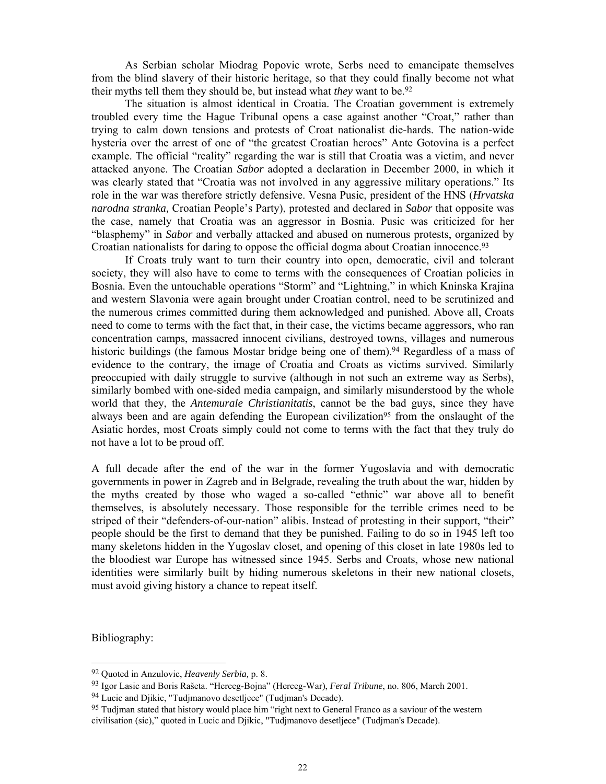As Serbian scholar Miodrag Popovic wrote, Serbs need to emancipate themselves from the blind slavery of their historic heritage, so that they could finally become not what their myths tell them they should be, but instead what *they* want to be.<sup>92</sup>

 The situation is almost identical in Croatia. The Croatian government is extremely troubled every time the Hague Tribunal opens a case against another "Croat," rather than trying to calm down tensions and protests of Croat nationalist die-hards. The nation-wide hysteria over the arrest of one of "the greatest Croatian heroes" Ante Gotovina is a perfect example. The official "reality" regarding the war is still that Croatia was a victim, and never attacked anyone. The Croatian *Sabor* adopted a declaration in December 2000, in which it was clearly stated that "Croatia was not involved in any aggressive military operations." Its role in the war was therefore strictly defensive. Vesna Pusic, president of the HNS (*Hrvatska narodna stranka,* Croatian People's Party), protested and declared in *Sabor* that opposite was the case, namely that Croatia was an aggressor in Bosnia. Pusic was criticized for her "blasphemy" in *Sabor* and verbally attacked and abused on numerous protests, organized by Croatian nationalists for daring to oppose the official dogma about Croatian innocence.93

 If Croats truly want to turn their country into open, democratic, civil and tolerant society, they will also have to come to terms with the consequences of Croatian policies in Bosnia. Even the untouchable operations "Storm" and "Lightning," in which Kninska Krajina and western Slavonia were again brought under Croatian control, need to be scrutinized and the numerous crimes committed during them acknowledged and punished. Above all, Croats need to come to terms with the fact that, in their case, the victims became aggressors, who ran concentration camps, massacred innocent civilians, destroyed towns, villages and numerous historic buildings (the famous Mostar bridge being one of them).<sup>94</sup> Regardless of a mass of evidence to the contrary, the image of Croatia and Croats as victims survived. Similarly preoccupied with daily struggle to survive (although in not such an extreme way as Serbs), similarly bombed with one-sided media campaign, and similarly misunderstood by the whole world that they, the *Antemurale Christianitatis*, cannot be the bad guys, since they have always been and are again defending the European civilization<sup>95</sup> from the onslaught of the Asiatic hordes, most Croats simply could not come to terms with the fact that they truly do not have a lot to be proud off.

A full decade after the end of the war in the former Yugoslavia and with democratic governments in power in Zagreb and in Belgrade, revealing the truth about the war, hidden by the myths created by those who waged a so-called "ethnic" war above all to benefit themselves, is absolutely necessary. Those responsible for the terrible crimes need to be striped of their "defenders-of-our-nation" alibis. Instead of protesting in their support, "their" people should be the first to demand that they be punished. Failing to do so in 1945 left too many skeletons hidden in the Yugoslav closet, and opening of this closet in late 1980s led to the bloodiest war Europe has witnessed since 1945. Serbs and Croats, whose new national identities were similarly built by hiding numerous skeletons in their new national closets, must avoid giving history a chance to repeat itself.

Bibliography:

<sup>92</sup> Quoted in Anzulovic, *Heavenly Serbia,* p. 8.

<sup>93</sup> Igor Lasic and Boris Rašeta. "Herceg-Bojna" (Herceg-War), *Feral Tribune*, no. 806, March 2001.

<sup>94</sup> Lucic and Djikic, "Tudjmanovo desetljece" (Tudjman's Decade).

<sup>95</sup> Tudjman stated that history would place him "right next to General Franco as a saviour of the western civilisation (sic)," quoted in Lucic and Djikic, "Tudjmanovo desetljece" (Tudjman's Decade).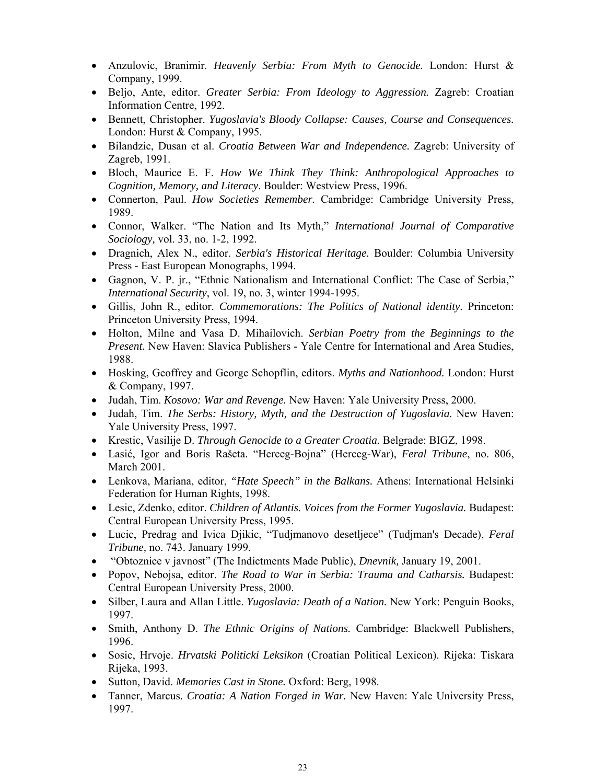- Anzulovic, Branimir. *Heavenly Serbia: From Myth to Genocide.* London: Hurst & Company, 1999.
- Beljo, Ante, editor. *Greater Serbia: From Ideology to Aggression.* Zagreb: Croatian Information Centre, 1992.
- Bennett, Christopher. *Yugoslavia's Bloody Collapse: Causes, Course and Consequences.* London: Hurst & Company, 1995.
- Bilandzic, Dusan et al. *Croatia Between War and Independence.* Zagreb: University of Zagreb, 1991.
- Bloch, Maurice E. F. *How We Think They Think: Anthropological Approaches to Cognition, Memory, and Literacy*. Boulder: Westview Press, 1996.
- Connerton, Paul. *How Societies Remember.* Cambridge: Cambridge University Press, 1989.
- Connor, Walker. "The Nation and Its Myth," *International Journal of Comparative Sociology,* vol. 33, no. 1-2, 1992.
- Dragnich, Alex N., editor. *Serbia's Historical Heritage.* Boulder: Columbia University Press - East European Monographs, 1994.
- Gagnon, V. P. jr., "Ethnic Nationalism and International Conflict: The Case of Serbia," *International Security*, vol. 19, no. 3, winter 1994-1995.
- Gillis, John R., editor. *Commemorations: The Politics of National identity.* Princeton: Princeton University Press, 1994.
- Holton, Milne and Vasa D. Mihailovich. *Serbian Poetry from the Beginnings to the Present.* New Haven: Slavica Publishers - Yale Centre for International and Area Studies, 1988.
- Hosking, Geoffrey and George Schopflin, editors. *Myths and Nationhood.* London: Hurst & Company, 1997.
- Judah, Tim. *Kosovo: War and Revenge.* New Haven: Yale University Press, 2000.
- Judah, Tim. *The Serbs: History, Myth, and the Destruction of Yugoslavia.* New Haven: Yale University Press, 1997.
- Krestic, Vasilije D. *Through Genocide to a Greater Croatia.* Belgrade: BIGZ, 1998.
- Lasić, Igor and Boris Rašeta. "Herceg-Bojna" (Herceg-War), *Feral Tribune*, no. 806, March 2001.
- Lenkova, Mariana, editor, *"Hate Speech" in the Balkans.* Athens: International Helsinki Federation for Human Rights, 1998.
- Lesic, Zdenko, editor. *Children of Atlantis. Voices from the Former Yugoslavia.* Budapest: Central European University Press, 1995.
- Lucic, Predrag and Ivica Djikic, "Tudjmanovo desetljece" (Tudjman's Decade), *Feral Tribune,* no. 743. January 1999.
- "Obtoznice v javnost" (The Indictments Made Public), *Dnevnik,* January 19, 2001.
- Popov, Nebojsa, editor. *The Road to War in Serbia: Trauma and Catharsis.* Budapest: Central European University Press, 2000.
- Silber, Laura and Allan Little. *Yugoslavia: Death of a Nation.* New York: Penguin Books, 1997.
- Smith, Anthony D. *The Ethnic Origins of Nations.* Cambridge: Blackwell Publishers, 1996.
- Sosic, Hrvoje. *Hrvatski Politicki Leksikon* (Croatian Political Lexicon). Rijeka: Tiskara Rijeka, 1993.
- Sutton, David. *Memories Cast in Stone.* Oxford: Berg, 1998.
- Tanner, Marcus. *Croatia: A Nation Forged in War.* New Haven: Yale University Press, 1997.